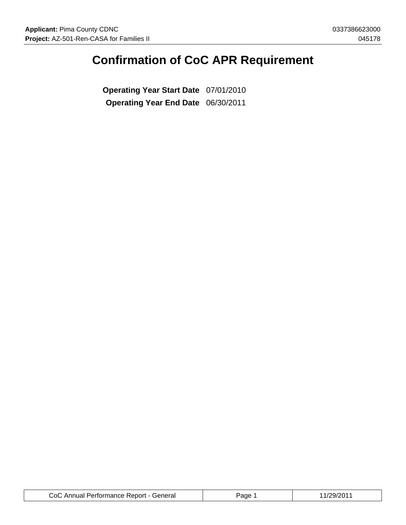# **Confirmation of CoC APR Requirement**

**Operating Year Start Date** 07/01/2010 **Operating Year End Date** 06/30/2011

| CoC Annual Performance Report - General | Page | /29/2011 |
|-----------------------------------------|------|----------|
|-----------------------------------------|------|----------|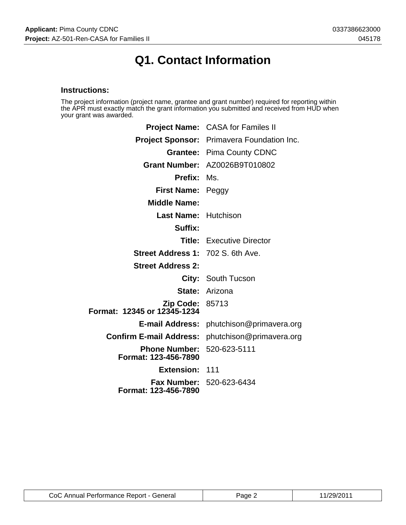# **Q1. Contact Information**

### **Instructions:**

The project information (project name, grantee and grant number) required for reporting within the APR must exactly match the grant information you submitted and received from HUD when your grant was awarded.

|                                                       | Project Name: CASA for Familes II                       |  |
|-------------------------------------------------------|---------------------------------------------------------|--|
|                                                       | Project Sponsor: Primavera Foundation Inc.              |  |
|                                                       | <b>Grantee: Pima County CDNC</b>                        |  |
|                                                       | Grant Number: AZ0026B9T010802                           |  |
| <b>Prefix:</b>                                        | Ms.                                                     |  |
| First Name: Peggy                                     |                                                         |  |
| <b>Middle Name:</b>                                   |                                                         |  |
| <b>Last Name: Hutchison</b>                           |                                                         |  |
| Suffix:                                               |                                                         |  |
|                                                       | <b>Title:</b> Executive Director                        |  |
| <b>Street Address 1: 702 S. 6th Ave.</b>              |                                                         |  |
| <b>Street Address 2:</b>                              |                                                         |  |
|                                                       | City: South Tucson                                      |  |
|                                                       | <b>State: Arizona</b>                                   |  |
| <b>Zip Code: 85713</b><br>Format: 12345 or 12345-1234 |                                                         |  |
|                                                       | <b>E-mail Address:</b> phutchison@primavera.org         |  |
|                                                       | <b>Confirm E-mail Address:</b> phutchison@primavera.org |  |
| Phone Number: 520-623-5111<br>Format: 123-456-7890    |                                                         |  |
| Extension: 111                                        |                                                         |  |
| Format: 123-456-7890                                  | <b>Fax Number: 520-623-6434</b>                         |  |

| CoC Annual Performance Report - General | Page 2 | 11/29/2011 |
|-----------------------------------------|--------|------------|
|-----------------------------------------|--------|------------|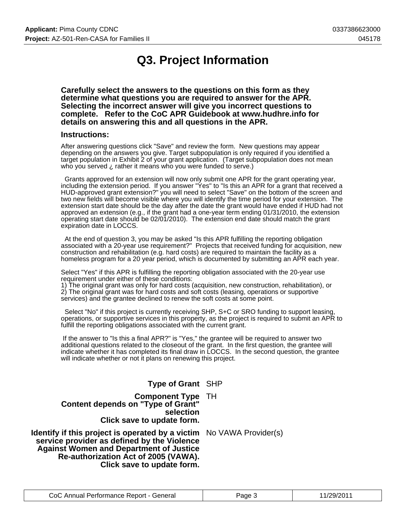# **Q3. Project Information**

**Carefully select the answers to the questions on this form as they determine what questions you are required to answer for the APR. Selecting the incorrect answer will give you incorrect questions to complete. Refer to the CoC APR Guidebook at www.hudhre.info for details on answering this and all questions in the APR.**

#### **Instructions:**

After answering questions click "Save" and review the form. New questions may appear depending on the answers you give. Target subpopulation is only required if you identified a target population in Exhibit 2 of your grant application. (Target subpopulation does not mean who you served ¿ rather it means who you were funded to serve.)

 Grants approved for an extension will now only submit one APR for the grant operating year, including the extension period. If you answer "Yes" to "Is this an APR for a grant that received a HUD-approved grant extension?" you will need to select "Save" on the bottom of the screen and two new fields will become visible where you will identify the time period for your extension. The extension start date should be the day after the date the grant would have ended if HUD had not approved an extension (e.g., if the grant had a one-year term ending 01/31/2010, the extension operating start date should be 02/01/2010). The extension end date should match the grant expiration date in LOCCS.

 At the end of question 3, you may be asked "Is this APR fulfilling the reporting obligation associated with a 20-year use requirement?" Projects that received funding for acquisition, new construction and rehabilitation (e.g. hard costs) are required to maintain the facility as a homeless program for a 20 year period, which is documented by submitting an APR each year.

Select "Yes" if this APR is fulfilling the reporting obligation associated with the 20-year use requirement under either of these conditions:

1) The original grant was only for hard costs (acquisition, new construction, rehabilitation), or 2) The original grant was for hard costs and soft costs (leasing, operations or supportive services) and the grantee declined to renew the soft costs at some point.

 Select "No" if this project is currently receiving SHP, S+C or SRO funding to support leasing, operations, or supportive services in this property, as the project is required to submit an APR to fulfill the reporting obligations associated with the current grant.

 If the answer to "Is this a final APR?" is "Yes," the grantee will be required to answer two additional questions related to the closeout of the grant. In the first question, the grantee will indicate whether it has completed its final draw in LOCCS. In the second question, the grantee will indicate whether or not it plans on renewing this project.

#### **Type of Grant** SHP

**Component Type** TH **Content depends on "Type of Grant" selection Click save to update form.**

**Identify if this project is operated by a victim** No VAWA Provider(s) **service provider as defined by the Violence Against Women and Department of Justice Re-authorization Act of 2005 (VAWA). Click save to update form.**

| CoC Annual Performance Report - General | Page 3 | 11/29/2011 |
|-----------------------------------------|--------|------------|
|-----------------------------------------|--------|------------|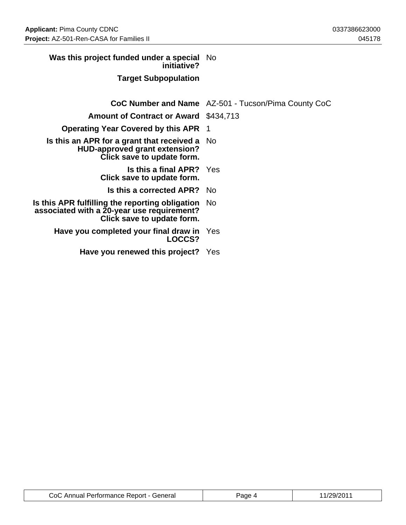| Was this project funded under a special No<br>initiative?                                                                   |                                                     |
|-----------------------------------------------------------------------------------------------------------------------------|-----------------------------------------------------|
| <b>Target Subpopulation</b>                                                                                                 |                                                     |
|                                                                                                                             | CoC Number and Name AZ-501 - Tucson/Pima County CoC |
| <b>Amount of Contract or Award \$434,713</b>                                                                                |                                                     |
| <b>Operating Year Covered by this APR 1</b>                                                                                 |                                                     |
| Is this an APR for a grant that received a<br><b>HUD-approved grant extension?</b><br>Click save to update form.            | No.                                                 |
| <b>Is this a final APR?</b> Yes<br>Click save to update form.                                                               |                                                     |
| <b>Is this a corrected APR?</b> No                                                                                          |                                                     |
| Is this APR fulfilling the reporting obligation<br>associated with a 20-year use requirement?<br>Click save to update form. | No.                                                 |
| Have you completed your final draw in<br>LOCCS?                                                                             | Yes                                                 |
| Have you renewed this project? Yes                                                                                          |                                                     |

| CoC Annual Performance Report - General | $P$ aqe | 11/29/2011 |
|-----------------------------------------|---------|------------|
|-----------------------------------------|---------|------------|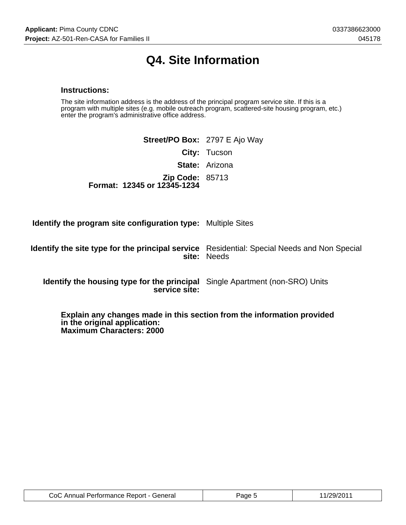# **Q4. Site Information**

#### **Instructions:**

The site information address is the address of the principal program service site. If this is a program with multiple sites (e.g. mobile outreach program, scattered-site housing program, etc.) enter the program's administrative office address.

|                                                       | <b>Street/PO Box: 2797 E Ajo Way</b> |
|-------------------------------------------------------|--------------------------------------|
|                                                       | <b>City: Tucson</b>                  |
|                                                       | <b>State: Arizona</b>                |
| <b>Zip Code: 85713</b><br>Format: 12345 or 12345-1234 |                                      |

**Identify the program site configuration type:** Multiple Sites

**Identify the site type for the principal service** Residential: Special Needs and Non Special **site:** Needs

**Identify the housing type for the principal** Single Apartment (non-SRO) Units **service site:**

**Explain any changes made in this section from the information provided in the original application: Maximum Characters: 2000**

| CoC Annual Performance Report - General | Page 5 | 11/29/2011 |
|-----------------------------------------|--------|------------|
|-----------------------------------------|--------|------------|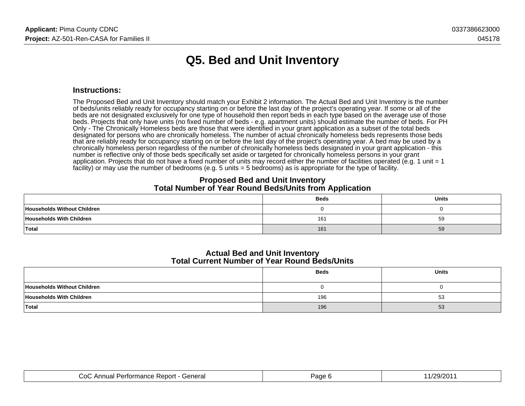# **Q5. Bed and Unit Inventory**

#### **Instructions:**

The Proposed Bed and Unit Inventory should match your Exhibit 2 information. The Actual Bed and Unit Inventory is the numberof beds/units reliably ready for occupancy starting on or before the last day of the project's operating year. If some or all of the beds are not designated exclusively for one type of household then report beds in each type based on the average use of those beds. Projects that only have units (no fixed number of beds - e.g. apartment units) should estimate the number of beds. For PHOnly - The Chronically Homeless beds are those that were identified in your grant application as a subset of the total beds designated for persons who are chronically homeless. The number of actual chronically homeless beds represents those beds that are reliably ready for occupancy starting on or before the last day of the project's operating year. A bed may be used by a chronically homeless person regardless of the number of chronically homeless beds designated in your grant application - thisnumber is reflective only of those beds specifically set aside or targeted for chronically homeless persons in your grant application. Projects that do not have a fixed number of units may record either the number of facilities operated (e.g. 1 unit = 1facility) or may use the number of bedrooms (e.g. 5 units = 5 bedrooms) as is appropriate for the type of facility.

#### **Proposed Bed and Unit InventoryTotal Number of Year Round Beds/Units from Application**

|                             | <b>Beds</b> | Units |
|-----------------------------|-------------|-------|
| Households Without Children |             |       |
| Households With Children    | 161         | 59    |
| Total                       | 161         | 59    |

#### **Actual Bed and Unit InventoryTotal Current Number of Year Round Beds/Units**

|                             | <b>Beds</b> | <b>Units</b> |
|-----------------------------|-------------|--------------|
| Households Without Children |             |              |
| Households With Children    | 196         | 53           |
| Total                       | 196         | 53           |

| `eneral<br>∴∩⊑<br>′erīormance<br>Rebon<br>\I II IL |  |
|----------------------------------------------------|--|
|                                                    |  |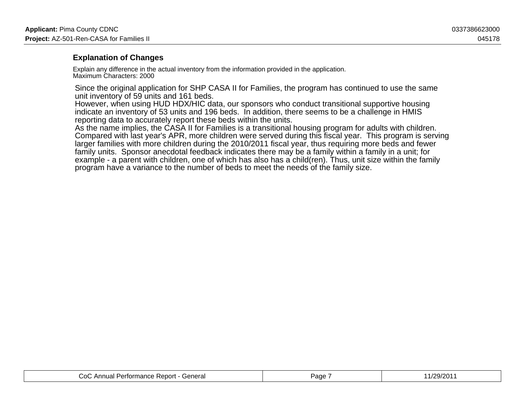### **Explanation of Changes**

Explain any difference in the actual inventory from the information provided in the application.Maximum Characters: 2000

Since the original application for SHP CASA II for Families, the program has continued to use the sameunit inventory of 59 units and 161 beds.

 However, when using HUD HDX/HIC data, our sponsors who conduct transitional supportive housingindicate an inventory of 53 units and 196 beds. In addition, there seems to be a challenge in HMISreporting data to accurately report these beds within the units.

 As the name implies, the CASA II for Families is a transitional housing program for adults with children. Compared with last year's APR, more children were served during this fiscal year. This program is servinglarger families with more children during the 2010/2011 fiscal year, thus requiring more beds and fewerfamily units. Sponsor anecdotal feedback indicates there may be a family within a family in a unit; for example - a parent with children, one of which has also has a child(ren). Thus, unit size within the familyprogram have a variance to the number of beds to meet the needs of the family size.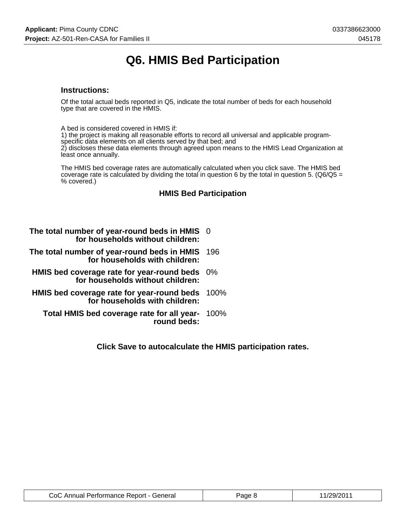# **Q6. HMIS Bed Participation**

#### **Instructions:**

Of the total actual beds reported in Q5, indicate the total number of beds for each household type that are covered in the HMIS.

A bed is considered covered in HMIS if:

1) the project is making all reasonable efforts to record all universal and applicable programspecific data elements on all clients served by that bed; and

2) discloses these data elements through agreed upon means to the HMIS Lead Organization at least once annually.

The HMIS bed coverage rates are automatically calculated when you click save. The HMIS bed coverage rate is calculated by dividing the total in question 6 by the total in question 5. ( $Q6/Q5 =$ % covered.)

### **HMIS Bed Participation**

| The total number of year-round beds in HMIS 0 |  |
|-----------------------------------------------|--|
| for households without children:              |  |

- **The total number of year-round beds in HMIS** 196 **for households with children:**
- **HMIS bed coverage rate for year-round beds** 0% **for households without children:**
- **HMIS bed coverage rate for year-round beds** 100% **for households with children:**
	- **Total HMIS bed coverage rate for all year-**100% **round beds:**

**Click Save to autocalculate the HMIS participation rates.**

| CoC Annual Performance Report - General | Page 8 | 11/29/2011 |
|-----------------------------------------|--------|------------|
|-----------------------------------------|--------|------------|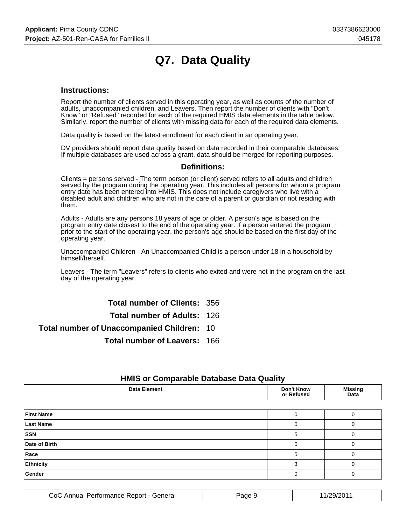# **Q7. Data Quality**

#### **Instructions:**

Report the number of clients served in this operating year, as well as counts of the number of adults, unaccompanied children, and Leavers. Then report the number of clients with "Don't Know" or "Refused" recorded for each of the required HMIS data elements in the table below. Similarly, report the number of clients with missing data for each of the required data elements.

Data quality is based on the latest enrollment for each client in an operating year.

DV providers should report data quality based on data recorded in their comparable databases. If multiple databases are used across a grant, data should be merged for reporting purposes.

#### **Definitions:**

Clients = persons served - The term person (or client) served refers to all adults and children served by the program during the operating year. This includes all persons for whom a program entry date has been entered into HMIS. This does not include caregivers who live with a disabled adult and children who are not in the care of a parent or guardian or not residing with them.

Adults - Adults are any persons 18 years of age or older. A person's age is based on the program entry date closest to the end of the operating year. If a person entered the program prior to the start of the operating year, the person's age should be based on the first day of the operating year.

Unaccompanied Children - An Unaccompanied Child is a person under 18 in a household by himself/herself.

Leavers - The term "Leavers" refers to clients who exited and were not in the program on the last day of the operating year.

**Total number of Clients:** 356

**Total number of Adults:** 126

**Total number of Unaccompanied Children:** 10

**Total number of Leavers:** 166

| <b>THING OF OUTIFICATION</b> Database Data Quality |                                 |                        |  |  |  |
|----------------------------------------------------|---------------------------------|------------------------|--|--|--|
| <b>Data Element</b>                                | <b>Don't Know</b><br>or Refused | <b>Missing</b><br>Data |  |  |  |
|                                                    |                                 |                        |  |  |  |
| <b>First Name</b>                                  |                                 |                        |  |  |  |
| <b>Last Name</b>                                   |                                 |                        |  |  |  |
| <b>SSN</b>                                         | 5                               |                        |  |  |  |
| Date of Birth                                      |                                 |                        |  |  |  |
| Race                                               | 5                               |                        |  |  |  |
| Ethnicity                                          |                                 |                        |  |  |  |
| Gender                                             |                                 |                        |  |  |  |
|                                                    |                                 |                        |  |  |  |

### **HMIS or Comparable Database Data Quality**

| CoC<br>General<br>----<br>nance Report<br>еноні<br>- Annuar I | ade | 12C<br> |
|---------------------------------------------------------------|-----|---------|
|---------------------------------------------------------------|-----|---------|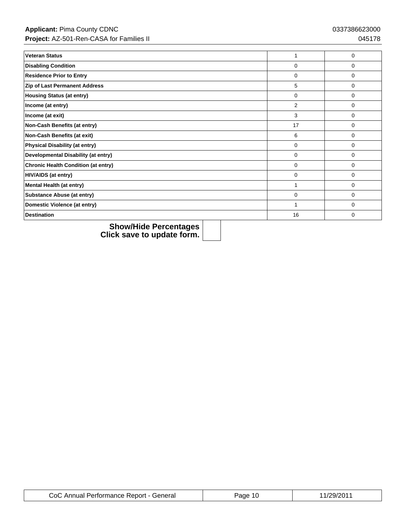| <b>Veteran Status</b>                      |          | $\Omega$    |
|--------------------------------------------|----------|-------------|
| <b>Disabling Condition</b>                 | $\Omega$ | 0           |
| <b>Residence Prior to Entry</b>            | $\Omega$ | $\Omega$    |
| Zip of Last Permanent Address              | 5        | $\Omega$    |
| <b>Housing Status (at entry)</b>           | 0        | 0           |
| Income (at entry)                          | 2        | 0           |
| Income (at exit)                           | 3        | 0           |
| Non-Cash Benefits (at entry)               | 17       | 0           |
| Non-Cash Benefits (at exit)                | 6        | $\Omega$    |
| <b>Physical Disability (at entry)</b>      | 0        | 0           |
| Developmental Disability (at entry)        | 0        | 0           |
| <b>Chronic Health Condition (at entry)</b> | $\Omega$ | $\Omega$    |
| <b>HIV/AIDS (at entry)</b>                 | 0        | 0           |
| Mental Health (at entry)                   | 4        | $\mathbf 0$ |
| <b>Substance Abuse (at entry)</b>          | $\Omega$ | $\Omega$    |
| Domestic Violence (at entry)               |          | 0           |
| <b>Destination</b>                         | 16       | $\Omega$    |

| CoC Annual Performance Report - General | <sup>o</sup> age 10 | 11/29/2011 |
|-----------------------------------------|---------------------|------------|
|-----------------------------------------|---------------------|------------|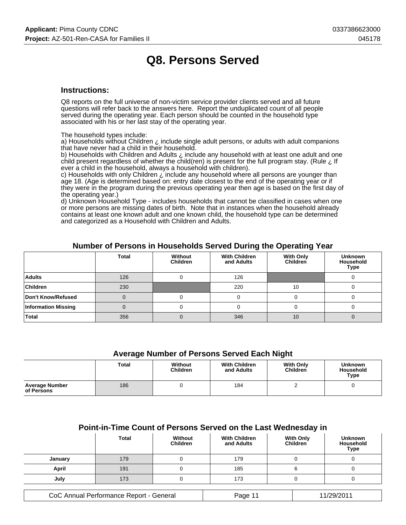## **Q8. Persons Served**

#### **Instructions:**

Q8 reports on the full universe of non-victim service provider clients served and all future questions will refer back to the answers here. Report the unduplicated count of all people served during the operating year. Each person should be counted in the household type associated with his or her last stay of the operating year.

The household types include:

a) Households without Children  $\lambda$  include single adult persons, or adults with adult companions that have never had a child in their household.

b) Households with Children and Adults ¿ include any household with at least one adult and one child present regardless of whether the child(ren) is present for the full program stay. (Rule ¿ If ever a child in the household, always a household with children).

c) Households with only Children ¿ include any household where all persons are younger than age 18. (Age is determined based on: entry date closest to the end of the operating year or if they were in the program during the previous operating year then age is based on the first day of the operating year.)

d) Unknown Household Type - includes households that cannot be classified in cases when one or more persons are missing dates of birth. Note that in instances when the household already contains at least one known adult and one known child, the household type can be determined and categorized as a Household with Children and Adults.

|                            | <b>Total</b> | Without<br><b>Children</b> | <b>With Children</b><br>and Adults | <b>With Only</b><br>Children | <b>Unknown</b><br><b>Household</b><br><b>Type</b> |
|----------------------------|--------------|----------------------------|------------------------------------|------------------------------|---------------------------------------------------|
| <b>Adults</b>              | 126          |                            | 126                                |                              |                                                   |
| <b>Children</b>            | 230          |                            | 220                                | 10                           |                                                   |
| Don't Know/Refused         |              |                            |                                    |                              |                                                   |
| <b>Information Missing</b> |              |                            |                                    |                              |                                                   |
| <b>Total</b>               | 356          |                            | 346                                | 10                           |                                                   |

#### **Number of Persons in Households Served During the Operating Year**

#### **Average Number of Persons Served Each Night**

|                                     | Total | Without<br><b>Children</b> | <b>With Children</b><br>and Adults | <b>With Only</b><br><b>Children</b> | <b>Unknown</b><br><b>Household</b><br><b>Type</b> |
|-------------------------------------|-------|----------------------------|------------------------------------|-------------------------------------|---------------------------------------------------|
| <b>Average Number</b><br>of Persons | 186   |                            | 184                                |                                     |                                                   |

#### **Point-in-Time Count of Persons Served on the Last Wednesday in**

|         | <b>Total</b> | Without<br><b>Children</b> | <b>With Children</b><br>and Adults | <b>With Only</b><br>Children | <b>Unknown</b><br>Household<br><b>Type</b> |
|---------|--------------|----------------------------|------------------------------------|------------------------------|--------------------------------------------|
| January | 179          |                            | 179                                |                              |                                            |
| April   | 191          |                            | 185                                |                              |                                            |
| July    | 173          |                            | 173                                |                              |                                            |

| CoC Annual Performance Report - General | Page 11 | 11/29/2011 |
|-----------------------------------------|---------|------------|
|-----------------------------------------|---------|------------|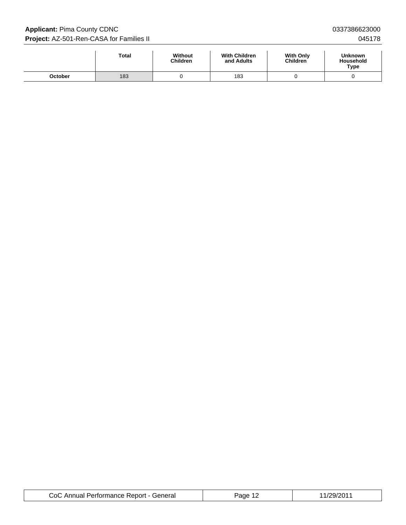**Applicant:** Pima County CDNC 0337386623000 **Project:** AZ-501-Ren-CASA for Families II **Department of the CASA for Families II** 045178

|         | <b>Total</b> | Without<br><b>Children</b> | <b>With Children</b><br>and Adults | <b>With Only</b><br><b>Children</b> | <b>Unknown</b><br><b>Household</b><br>Type |
|---------|--------------|----------------------------|------------------------------------|-------------------------------------|--------------------------------------------|
| October | 183          |                            | 183                                |                                     |                                            |

| CoC Annual Performance Report - General | Page 12 | 11/29/2011 |
|-----------------------------------------|---------|------------|
|-----------------------------------------|---------|------------|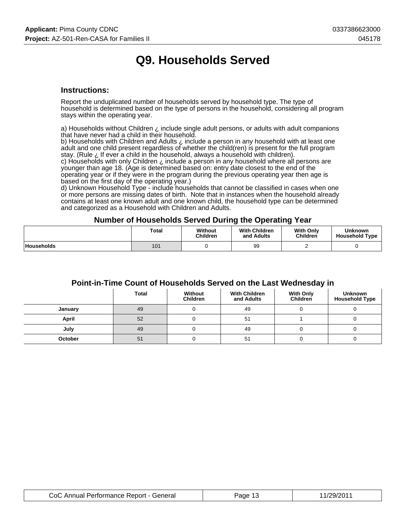# **Q9. Households Served**

#### **Instructions:**

Report the unduplicated number of households served by household type. The type of household is determined based on the type of persons in the household, considering all program stays within the operating year.

a) Households without Children  $\zeta$  include single adult persons, or adults with adult companions that have never had a child in their household.

b) Households with Children and Adults ¿ include a person in any household with at least one adult and one child present regardless of whether the child(ren) is present for the full program stay. (Rule ¿ If ever a child in the household, always a household with children). c) Households with only Children ¿ include a person in any household where all persons are

younger than age 18. (Age is determined based on: entry date closest to the end of the operating year or if they were in the program during the previous operating year then age is based on the first day of the operating year.)

d) Unknown Household Type - include households that cannot be classified in cases when one or more persons are missing dates of birth. Note that in instances when the household already contains at least one known adult and one known child, the household type can be determined and categorized as a Household with Children and Adults.

#### **Number of Households Served During the Operating Year**

|                   | Total | Without<br><b>Children</b> | <b>With Children</b><br>and Adults | <b>With Only</b><br><b>Children</b> | <b>Unknown</b><br><b>Household Type</b> |
|-------------------|-------|----------------------------|------------------------------------|-------------------------------------|-----------------------------------------|
| <b>Households</b> | 101   |                            | 99                                 |                                     |                                         |

### **Point-in-Time Count of Households Served on the Last Wednesday in**

|         | <b>Total</b> | Without<br><b>Children</b> | <b>With Children</b><br>and Adults | <b>With Only</b><br><b>Children</b> | <b>Unknown</b><br><b>Household Type</b> |
|---------|--------------|----------------------------|------------------------------------|-------------------------------------|-----------------------------------------|
| January | 49           |                            | 49                                 |                                     |                                         |
| April   | 52           |                            | 51                                 |                                     |                                         |
| July    | 49           |                            | 49                                 |                                     |                                         |
| October | 51           |                            | 51                                 |                                     |                                         |

| CoC Annual Performance Report - General | Page 13 | 11/29/2011 |
|-----------------------------------------|---------|------------|
|-----------------------------------------|---------|------------|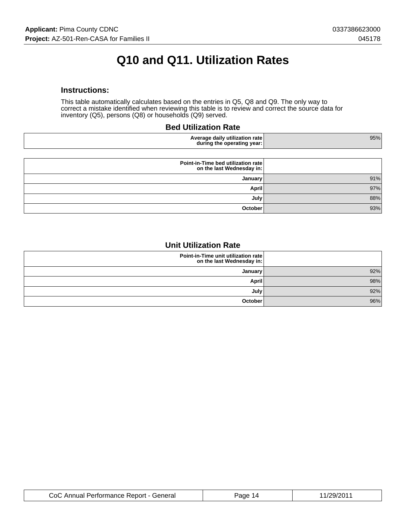# **Q10 and Q11. Utilization Rates**

#### **Instructions:**

This table automatically calculates based on the entries in Q5, Q8 and Q9. The only way to correct a mistake identified when reviewing this table is to review and correct the source data for inventory (Q5), persons (Q8) or households (Q9) served.

#### **Bed Utilization Rate**

| zation rate<br>.<br>Aver<br>⊲aııv<br>иш<br>rau<br>∵vear: ⊾<br>during<br>operating<br>τne<br>. . | 95% |
|-------------------------------------------------------------------------------------------------|-----|
|-------------------------------------------------------------------------------------------------|-----|

|     | Point-in-Time bed utilization rate<br>on the last Wednesday in: |
|-----|-----------------------------------------------------------------|
| 91% | <b>January</b>                                                  |
| 97% | <b>April</b>                                                    |
| 88% | July                                                            |
| 93% | October                                                         |

### **Unit Utilization Rate**

| Point-in-Time unit utilization rate<br>on the last Wednesday in: |     |
|------------------------------------------------------------------|-----|
| January                                                          | 92% |
| April                                                            | 98% |
| July <sup>1</sup>                                                | 92% |
| October                                                          | 96% |

| CoC Annual Performance Report - General | Page 14 | 11/29/2011 |
|-----------------------------------------|---------|------------|
|-----------------------------------------|---------|------------|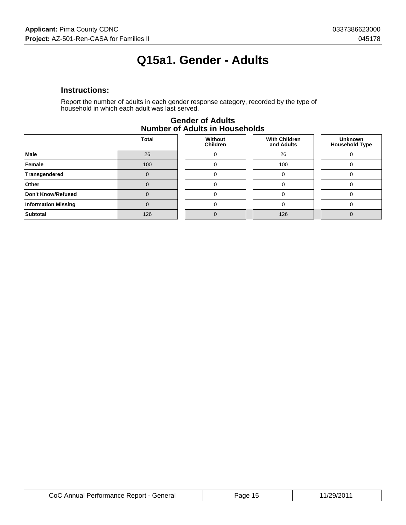# **Q15a1. Gender - Adults**

### **Instructions:**

Report the number of adults in each gender response category, recorded by the type of household in which each adult was last served.

| Number of Addits in Households |              |                            |                                    |                                         |  |  |
|--------------------------------|--------------|----------------------------|------------------------------------|-----------------------------------------|--|--|
|                                | <b>Total</b> | Without<br><b>Children</b> | <b>With Children</b><br>and Adults | <b>Unknown</b><br><b>Household Type</b> |  |  |
| <b>Male</b>                    | 26           |                            | 26                                 |                                         |  |  |
| Female                         | 100          |                            | 100                                |                                         |  |  |
| Transgendered                  |              |                            |                                    |                                         |  |  |
| Other                          |              |                            |                                    |                                         |  |  |
| Don't Know/Refused             |              |                            |                                    |                                         |  |  |
| <b>Information Missing</b>     |              |                            |                                    |                                         |  |  |
| Subtotal                       | 126          |                            | 126                                |                                         |  |  |

#### **Gender of Adults Number of Adults in Households**

| CoC Annual Performance Report - General | Paoe 15 | 11/29/201' |
|-----------------------------------------|---------|------------|
|-----------------------------------------|---------|------------|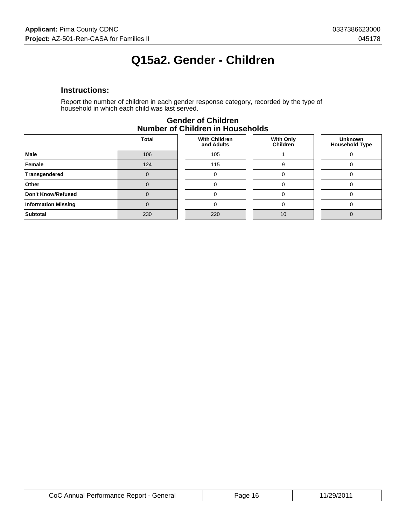# **Q15a2. Gender - Children**

### **Instructions:**

Report the number of children in each gender response category, recorded by the type of household in which each child was last served.

|                            | <b>Total</b> | <b>With Children</b><br>and Adults | <b>With Only</b><br>Children | <b>Unknown</b><br><b>Household Type</b> |  |
|----------------------------|--------------|------------------------------------|------------------------------|-----------------------------------------|--|
| Male                       | 106          | 105                                |                              |                                         |  |
| Female                     | 124          | 115                                | 9                            |                                         |  |
| Transgendered              |              | 0                                  |                              | $\Omega$                                |  |
| Other                      |              | 0                                  |                              | ∩                                       |  |
| Don't Know/Refused         |              | 0                                  |                              |                                         |  |
| <b>Information Missing</b> |              | 0                                  |                              |                                         |  |
| <b>Subtotal</b>            | 230          | 220                                | 10                           | $\Omega$                                |  |
|                            |              |                                    |                              |                                         |  |

#### **Gender of Children Number of Children in Households**

| CoC Annual Performance Report - General | Page 16 | 11/29/2011 |
|-----------------------------------------|---------|------------|
|-----------------------------------------|---------|------------|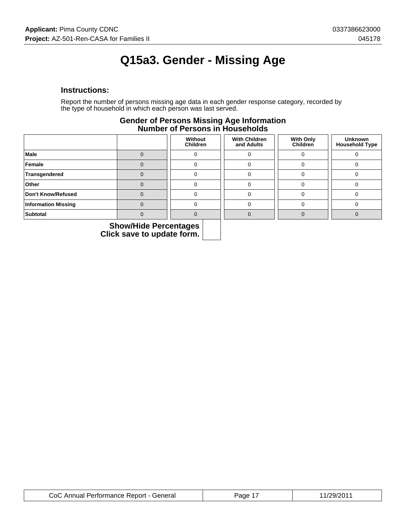# **Q15a3. Gender - Missing Age**

#### **Instructions:**

Report the number of persons missing age data in each gender response category, recorded by the type of household in which each person was last served.

#### **Gender of Persons Missing Age Information Number of Persons in Households**

|                            | Without<br><b>Children</b> | <b>With Children</b><br>and Adults | <b>With Only</b><br>Children | <b>Unknown</b><br><b>Household Type</b> |
|----------------------------|----------------------------|------------------------------------|------------------------------|-----------------------------------------|
| Male                       |                            |                                    |                              |                                         |
| Female                     |                            |                                    |                              |                                         |
| Transgendered              |                            |                                    |                              |                                         |
| Other                      |                            |                                    |                              |                                         |
| Don't Know/Refused         |                            |                                    |                              |                                         |
| <b>Information Missing</b> |                            |                                    |                              |                                         |
| Subtotal                   |                            |                                    |                              |                                         |

| CoC Annual Performance Report - General | Page 1 | 11/29/2011 |
|-----------------------------------------|--------|------------|
|-----------------------------------------|--------|------------|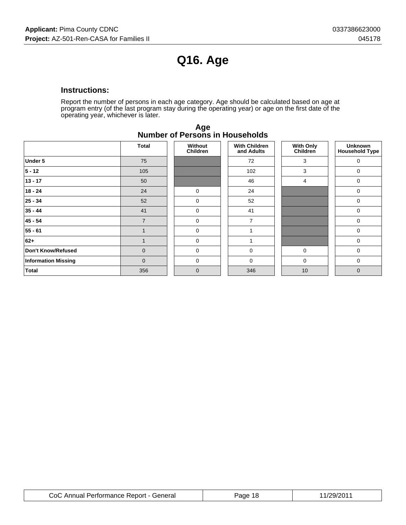# **Q16. Age**

### **Instructions:**

Report the number of persons in each age category. Age should be calculated based on age at program entry (of the last program stay during the operating year) or age on the first date of the operating year, whichever is later.

|                            | Total          | Without<br><b>Children</b> | <b>With Children</b><br>and Adults | <b>With Only</b><br>Children | <b>Unknown</b><br><b>Household Type</b> |
|----------------------------|----------------|----------------------------|------------------------------------|------------------------------|-----------------------------------------|
| Under 5                    | 75             |                            | 72                                 | 3                            | 0                                       |
| $5 - 12$                   | 105            |                            | 102                                | 3                            | 0                                       |
| $13 - 17$                  | 50             |                            | 46                                 | 4                            | 0                                       |
| $18 - 24$                  | 24             | 0                          | 24                                 |                              | 0                                       |
| $25 - 34$                  | 52             | 0                          | 52                                 |                              | 0                                       |
| $35 - 44$                  | 41             | 0                          | 41                                 |                              | 0                                       |
| 45 - 54                    | $\overline{7}$ | 0                          | $\overline{7}$                     |                              | 0                                       |
| $55 - 61$                  |                | 0                          |                                    |                              | 0                                       |
| 62+                        |                | $\mathbf 0$                |                                    |                              | $\mathbf 0$                             |
| Don't Know/Refused         | $\overline{0}$ | 0                          | $\Omega$                           | 0                            | 0                                       |
| <b>Information Missing</b> | $\overline{0}$ | $\mathbf 0$                | $\Omega$                           | $\mathbf 0$                  | 0                                       |
| <b>Total</b>               | 356            | $\mathbf 0$                | 346                                | 10                           | $\mathbf 0$                             |

**Age Number of Persons in Households**

| CoC Annual Performance Report - General | Page 18 | 11/29/2011 |
|-----------------------------------------|---------|------------|
|-----------------------------------------|---------|------------|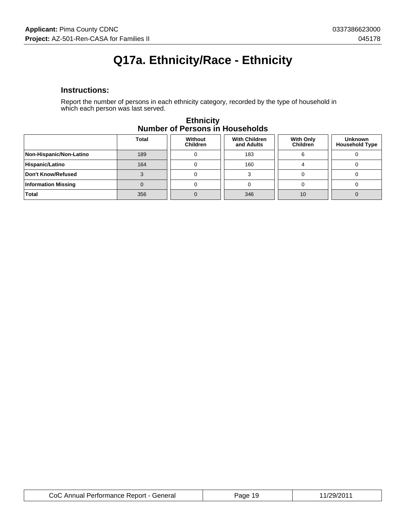# **Q17a. Ethnicity/Race - Ethnicity**

#### **Instructions:**

Report the number of persons in each ethnicity category, recorded by the type of household in which each person was last served.

|                            | <b>Total</b> | Without<br><b>Children</b> | <b>With Children</b><br>and Adults | <b>With Only</b><br><b>Children</b> | <b>Unknown</b><br><b>Household Type</b> |
|----------------------------|--------------|----------------------------|------------------------------------|-------------------------------------|-----------------------------------------|
| Non-Hispanic/Non-Latino    | 189          |                            | 183                                |                                     |                                         |
| Hispanic/Latino            | 164          |                            | 160                                |                                     |                                         |
| Don't Know/Refused         |              |                            |                                    |                                     |                                         |
| <b>Information Missing</b> |              |                            |                                    |                                     |                                         |
| <b>Total</b>               | 356          |                            | 346                                | 10                                  |                                         |

#### **Ethnicity Number of Persons in Households**

| CoC Annual Performance Report - General | Page 19 | 11/29/201' |
|-----------------------------------------|---------|------------|
|-----------------------------------------|---------|------------|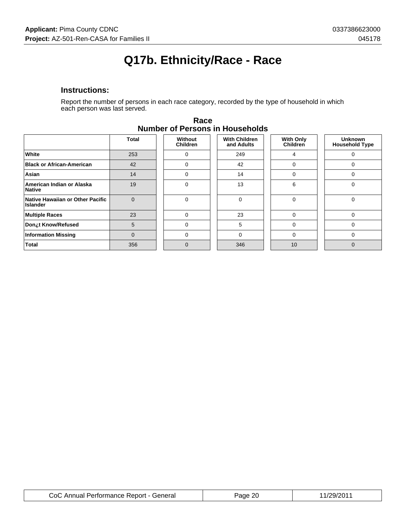# **Q17b. Ethnicity/Race - Race**

### **Instructions:**

Report the number of persons in each race category, recorded by the type of household in which each person was last served.

|                                                     | Total    | Without<br><b>Children</b> | <b>With Children</b><br>and Adults | <b>With Only</b><br>Children | <b>Unknown</b><br><b>Household Type</b> |
|-----------------------------------------------------|----------|----------------------------|------------------------------------|------------------------------|-----------------------------------------|
| White                                               | 253      | 0                          | 249                                |                              |                                         |
| <b>Black or African-American</b>                    | 42       | $\Omega$                   | 42                                 | 0                            |                                         |
| Asian                                               | 14       | 0                          | 14                                 | 0                            |                                         |
| American Indian or Alaska<br><b>Native</b>          | 19       | $\Omega$                   | 13                                 | 6                            |                                         |
| Native Hawaiian or Other Pacific<br><b>Islander</b> | $\Omega$ | $\Omega$                   |                                    | 0                            |                                         |
| <b>Multiple Races</b>                               | 23       | $\Omega$                   | 23                                 | 0                            | $\Omega$                                |
| Don¿t Know/Refused                                  | 5        | $\Omega$                   | 5                                  | $\Omega$                     | $\Omega$                                |
| <b>Information Missing</b>                          | $\Omega$ | $\Omega$                   | $\Omega$                           | $\Omega$                     |                                         |
| <b>Total</b>                                        | 356      | $\Omega$                   | 346                                | 10                           |                                         |

| Race                                   |
|----------------------------------------|
| <b>Number of Persons in Households</b> |

| CoC Annual Performance Report - General | or<br>ane. | /29/201 |
|-----------------------------------------|------------|---------|
|-----------------------------------------|------------|---------|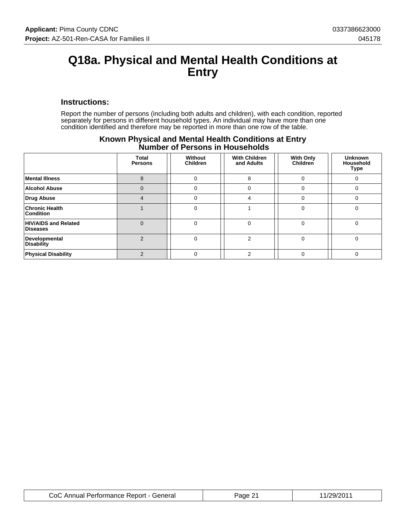### **Q18a. Physical and Mental Health Conditions at Entry**

#### **Instructions:**

Report the number of persons (including both adults and children), with each condition, reported separately for persons in different household types. An individual may have more than one condition identified and therefore may be reported in more than one row of the table.

|                                                | <b>Total</b><br><b>Persons</b> | Without<br><b>Children</b> | <b>With Children</b><br>and Adults | <b>With Only</b><br>Children | <b>Unknown</b><br>Household<br>Type |
|------------------------------------------------|--------------------------------|----------------------------|------------------------------------|------------------------------|-------------------------------------|
| <b>Mental Illness</b>                          | 8                              |                            | 8                                  | 0                            |                                     |
| <b>Alcohol Abuse</b>                           | $\Omega$                       | 0                          |                                    | $\Omega$                     | O                                   |
| <b>Drug Abuse</b>                              | $\overline{4}$                 |                            | 4                                  | $\Omega$                     |                                     |
| <b>Chronic Health</b><br><b>Condition</b>      |                                | 0                          |                                    | $\Omega$                     | U                                   |
| <b>HIV/AIDS and Related</b><br><b>Diseases</b> | $\Omega$                       |                            |                                    | 0                            |                                     |
| Developmental<br><b>Disability</b>             | $\mathcal{P}$                  |                            |                                    | $\Omega$                     |                                     |
| <b>Physical Disability</b>                     | ⌒                              |                            |                                    | $\Omega$                     |                                     |

### **Known Physical and Mental Health Conditions at Entry Number of Persons in Households**

| CoC Annual Performance Report - General | Page 21 | 11/29/2011 |
|-----------------------------------------|---------|------------|
|-----------------------------------------|---------|------------|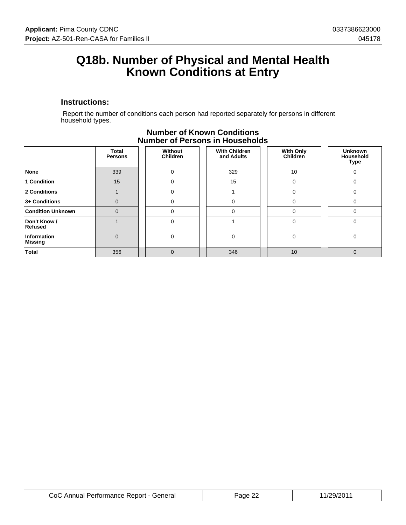### **Q18b. Number of Physical and Mental Health Known Conditions at Entry**

#### **Instructions:**

 Report the number of conditions each person had reported separately for persons in different household types.

|                               | Total<br><b>Persons</b> | Without<br><b>Children</b> | <b>With Children</b><br>and Adults | <b>With Only</b><br>Children | <b>Unknown</b><br>Household<br>Type |
|-------------------------------|-------------------------|----------------------------|------------------------------------|------------------------------|-------------------------------------|
| <b>None</b>                   | 339                     | 0                          | 329                                | 10                           | 0                                   |
| 1 Condition                   | 15                      | 0                          | 15                                 | $\Omega$                     |                                     |
| 2 Conditions                  |                         | 0                          |                                    | $\Omega$                     |                                     |
| 3+ Conditions                 | $\mathbf 0$             | 0                          | 0                                  | $\mathbf 0$                  | 0                                   |
| <b>Condition Unknown</b>      | $\Omega$                | 0                          | $\Omega$                           | $\Omega$                     |                                     |
| Don't Know /<br>Refused       |                         |                            |                                    | $\Omega$                     |                                     |
| Information<br><b>Missing</b> | $\Omega$                | 0                          | $\Omega$                           | $\Omega$                     |                                     |
| <b>Total</b>                  | 356                     | 0                          | 346                                | 10                           | 0                                   |

### **Number of Known Conditions Number of Persons in Households**

| CoC Annual Performance Report - General | nr.<br>Page | 1/29/201 |
|-----------------------------------------|-------------|----------|
|-----------------------------------------|-------------|----------|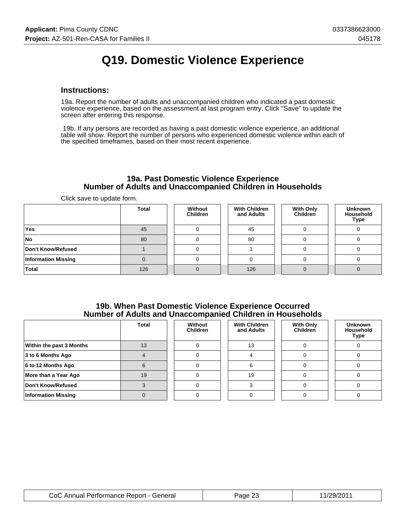# **Q19. Domestic Violence Experience**

#### **Instructions:**

19a. Report the number of adults and unaccompanied children who indicated a past domestic violence experience, based on the assessment at last program entry. Click "Save" to update the screen after entering this response.

 19b. If any persons are recorded as having a past domestic violence experience, an additional table will show. Report the number of persons who experienced domestic violence within each of the specified timeframes, based on their most recent experience.

#### **19a. Past Domestic Violence Experience Number of Adults and Unaccompanied Children in Households**

Click save to update form.

|                            | <b>Total</b> | Without<br><b>Children</b> | <b>With Children</b><br>and Adults | <b>With Only</b><br>Children | <b>Unknown</b><br>Household<br>Type |
|----------------------------|--------------|----------------------------|------------------------------------|------------------------------|-------------------------------------|
| <b>Yes</b>                 | 45           |                            | 45                                 |                              |                                     |
| No.                        | 80           |                            | 80                                 |                              |                                     |
| Don't Know/Refused         |              |                            |                                    |                              |                                     |
| <b>Information Missing</b> |              |                            |                                    |                              |                                     |
| <b>Total</b>               | 126          |                            | 126                                |                              |                                     |

#### **19b. When Past Domestic Violence Experience Occurred Number of Adults and Unaccompanied Children in Households**

|                            | <b>Total</b> | Without<br><b>Children</b> | <b>With Children</b><br>and Adults | <b>With Only</b><br><b>Children</b> | <b>Unknown</b><br><b>Household</b><br><b>Type</b> |
|----------------------------|--------------|----------------------------|------------------------------------|-------------------------------------|---------------------------------------------------|
| Within the past 3 Months   | 13           |                            | 13                                 |                                     |                                                   |
| 3 to 6 Months Ago          |              |                            |                                    |                                     |                                                   |
| $6$ to 12 Months Ago       |              |                            |                                    |                                     |                                                   |
| More than a Year Ago       | 19           |                            | 19                                 |                                     |                                                   |
| Don't Know/Refused         |              |                            |                                    |                                     |                                                   |
| <b>Information Missing</b> |              |                            |                                    |                                     |                                                   |

| CoC Annual Performance Report - General | Page 2J | 11/29/201 |
|-----------------------------------------|---------|-----------|
|-----------------------------------------|---------|-----------|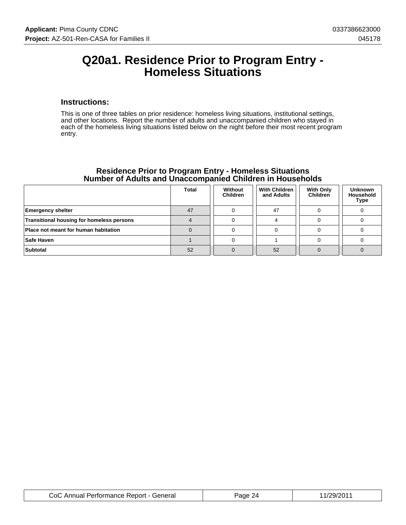### **Q20a1. Residence Prior to Program Entry - Homeless Situations**

#### **Instructions:**

This is one of three tables on prior residence: homeless living situations, institutional settings, and other locations. Report the number of adults and unaccompanied children who stayed in each of the homeless living situations listed below on the night before their most recent program entry.

| <u>namber of Addite and Onavoumpanied Onlighen in Housenolds</u> |       |                            |                                    |                                     |                                            |
|------------------------------------------------------------------|-------|----------------------------|------------------------------------|-------------------------------------|--------------------------------------------|
|                                                                  | Total | Without<br><b>Children</b> | <b>With Children</b><br>and Adults | <b>With Only</b><br><b>Children</b> | <b>Unknown</b><br><b>Household</b><br>Type |
| <b>Emergency shelter</b>                                         | 47    |                            | 47                                 |                                     |                                            |
| <b>Transitional housing for homeless persons</b>                 |       |                            |                                    |                                     |                                            |
| Place not meant for human habitation                             |       |                            |                                    |                                     |                                            |
| Safe Haven                                                       |       |                            |                                    |                                     |                                            |
| Subtotal                                                         | 52    |                            | 52                                 |                                     |                                            |

### **Residence Prior to Program Entry - Homeless Situations Number of Adults and Unaccompanied Children in Households**

| CoC Annual Performance Report - General | Page 2 | 11/29/201 |
|-----------------------------------------|--------|-----------|
|-----------------------------------------|--------|-----------|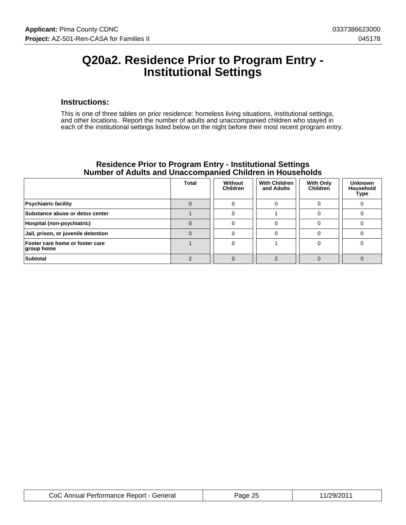### **Q20a2. Residence Prior to Program Entry - Institutional Settings**

#### **Instructions:**

This is one of three tables on prior residence: homeless living situations, institutional settings, and other locations. Report the number of adults and unaccompanied children who stayed in each of the institutional settings listed below on the night before their most recent program entry.

#### **Residence Prior to Program Entry - Institutional Settings Number of Adults and Unaccompanied Children in Households**

|                                               | <b>Total</b> | Without<br><b>Children</b> | <b>With Children</b><br>and Adults | <b>With Only</b><br><b>Children</b> | <b>Unknown</b><br><b>Household</b><br><b>Type</b> |
|-----------------------------------------------|--------------|----------------------------|------------------------------------|-------------------------------------|---------------------------------------------------|
| <b>Psychiatric facility</b>                   |              |                            |                                    |                                     |                                                   |
| Substance abuse or detox center               |              |                            |                                    |                                     |                                                   |
| Hospital (non-psychiatric)                    |              |                            |                                    |                                     |                                                   |
| Jail, prison, or juvenile detention           |              |                            |                                    |                                     |                                                   |
| Foster care home or foster care<br>group home |              |                            |                                    |                                     |                                                   |
| <b>Subtotal</b>                               |              |                            |                                    |                                     |                                                   |

| CoC Annual Performance Report - General | Page 25 | 11/29/2011 |
|-----------------------------------------|---------|------------|
|-----------------------------------------|---------|------------|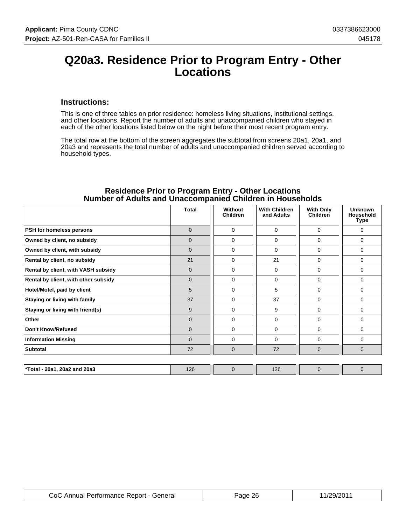### **Q20a3. Residence Prior to Program Entry - Other Locations**

#### **Instructions:**

This is one of three tables on prior residence: homeless living situations, institutional settings, and other locations. Report the number of adults and unaccompanied children who stayed in each of the other locations listed below on the night before their most recent program entry.

The total row at the bottom of the screen aggregates the subtotal from screens 20a1, 20a1, and 20a3 and represents the total number of adults and unaccompanied children served according to household types.

|                                      | <b>Total</b> | Without<br><b>Children</b> | <b>With Children</b><br>and Adults | <b>With Only</b><br>Children | <b>Unknown</b><br><b>Household</b><br>Type |
|--------------------------------------|--------------|----------------------------|------------------------------------|------------------------------|--------------------------------------------|
| PSH for homeless persons             | $\mathbf{0}$ | $\Omega$                   | 0                                  | 0                            | 0                                          |
| Owned by client, no subsidy          | $\mathbf{0}$ | $\Omega$                   | 0                                  | $\Omega$                     | $\mathbf 0$                                |
| Owned by client, with subsidy        | $\mathbf{0}$ | $\Omega$                   | 0                                  | $\Omega$                     | $\mathbf 0$                                |
| Rental by client, no subsidy         | 21           | $\Omega$                   | 21                                 | 0                            | 0                                          |
| Rental by client, with VASH subsidy  | $\mathbf{0}$ | $\Omega$                   | $\Omega$                           | 0                            | 0                                          |
| Rental by client, with other subsidy | $\mathbf{0}$ | $\Omega$                   | $\mathbf 0$                        | 0                            | $\mathbf 0$                                |
| Hotel/Motel, paid by client          | 5            | $\Omega$                   | 5                                  | 0                            | $\mathbf 0$                                |
| Staying or living with family        | 37           | $\Omega$                   | 37                                 | $\Omega$                     | $\mathbf 0$                                |
| Staying or living with friend(s)     | 9            | $\Omega$                   | 9                                  | 0                            | $\mathbf 0$                                |
| Other                                | $\mathbf{0}$ | $\Omega$                   | 0                                  | 0                            | 0                                          |
| Don't Know/Refused                   | $\Omega$     | $\Omega$                   | $\Omega$                           | 0                            | $\Omega$                                   |
| <b>Information Missing</b>           | $\mathbf{0}$ | 0                          | 0                                  | 0                            | 0                                          |
| <b>Subtotal</b>                      | 72           | $\mathbf{0}$               | 72                                 | $\mathbf{0}$                 | $\mathbf{0}$                               |
|                                      |              |                            |                                    |                              |                                            |
| *Total - 20a1, 20a2 and 20a3         | 126          | $\Omega$                   | 126                                | $\overline{0}$               | $\overline{0}$                             |

#### **Residence Prior to Program Entry - Other Locations Number of Adults and Unaccompanied Children in Households**

| CoC Annual Performance Report - General | <sup>2</sup> age 26 | 11/29/201 |
|-----------------------------------------|---------------------|-----------|
|-----------------------------------------|---------------------|-----------|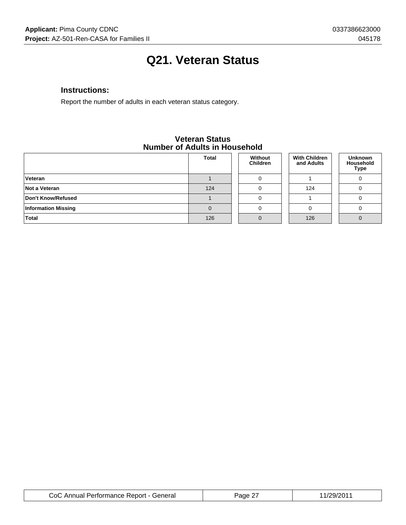# **Q21. Veteran Status**

### **Instructions:**

Report the number of adults in each veteran status category.

#### **Veteran Status Number of Adults in Household**

|                            | <b>Total</b> | Without<br><b>Children</b> | <b>With Children</b><br>and Adults | <b>Unknown</b><br>Household<br><b>Type</b> |
|----------------------------|--------------|----------------------------|------------------------------------|--------------------------------------------|
| Veteran                    |              |                            |                                    |                                            |
| Not a Veteran              | 124          |                            | 124                                |                                            |
| Don't Know/Refused         |              |                            |                                    |                                            |
| <b>Information Missing</b> |              |                            |                                    |                                            |
| Total                      | 126          |                            | 126                                |                                            |

| CoC Annual Performance Report - General | Page 2 | 11/29/2011 |
|-----------------------------------------|--------|------------|
|-----------------------------------------|--------|------------|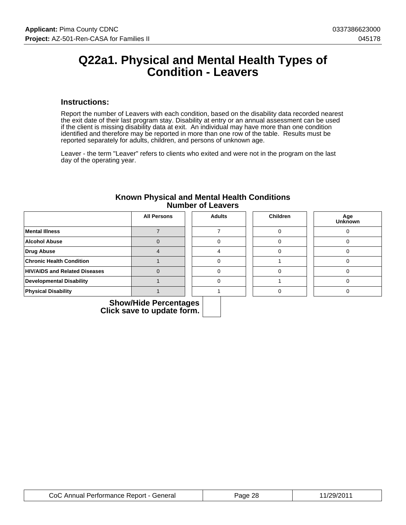### **Q22a1. Physical and Mental Health Types of Condition - Leavers**

#### **Instructions:**

Report the number of Leavers with each condition, based on the disability data recorded nearest the exit date of their last program stay. Disability at entry or an annual assessment can be used if the client is missing disability data at exit. An individual may have more than one condition identified and therefore may be reported in more than one row of the table. Results must be reported separately for adults, children, and persons of unknown age.

Leaver - the term "Leaver" refers to clients who exited and were not in the program on the last day of the operating year.

| Known Physical and Mental Health Conditions<br><b>Number of Leavers</b> |
|-------------------------------------------------------------------------|
|                                                                         |

|                                      | <b>All Persons</b> | <b>Adults</b> | <b>Children</b> | Age<br><b>Unknown</b> |
|--------------------------------------|--------------------|---------------|-----------------|-----------------------|
| <b>Mental Illness</b>                |                    |               |                 |                       |
| <b>Alcohol Abuse</b>                 |                    |               |                 |                       |
| Drug Abuse                           |                    |               |                 |                       |
| <b>Chronic Health Condition</b>      |                    |               |                 |                       |
| <b>HIV/AIDS and Related Diseases</b> |                    |               |                 |                       |
| Developmental Disability             |                    |               |                 |                       |
| <b>Physical Disability</b>           |                    |               |                 |                       |

| CoC Annual Performance Report - General | Page 28 | 11/29/2011 |
|-----------------------------------------|---------|------------|
|-----------------------------------------|---------|------------|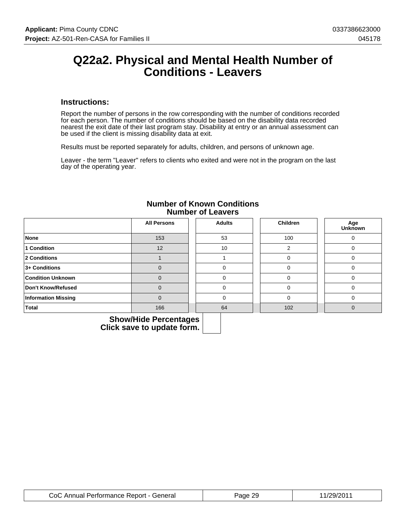### **Q22a2. Physical and Mental Health Number of Conditions - Leavers**

#### **Instructions:**

Report the number of persons in the row corresponding with the number of conditions recorded for each person. The number of conditions should be based on the disability data recorded nearest the exit date of their last program stay. Disability at entry or an annual assessment can be used if the client is missing disability data at exit.

Results must be reported separately for adults, children, and persons of unknown age.

Leaver - the term "Leaver" refers to clients who exited and were not in the program on the last day of the operating year.

|                            | <b>All Persons</b> | <b>Adults</b> | Children | Age<br>Unknown |
|----------------------------|--------------------|---------------|----------|----------------|
| <b>None</b>                | 153                | 53            | 100      | C              |
| 1 Condition                | 12                 | 10            | ◠        |                |
| 2 Conditions               |                    |               | 0        |                |
| 3+ Conditions              | $\mathbf 0$        |               | 0        |                |
| <b>Condition Unknown</b>   | $\Omega$           |               | $\Omega$ |                |
| Don't Know/Refused         | $\Omega$           |               | $\Omega$ |                |
| <b>Information Missing</b> | $\overline{0}$     | $\Omega$      | $\Omega$ | O              |
| <b>Total</b>               | 166                | 64            | 102      |                |

#### **Number of Known Conditions Number of Leavers**

| CoC Annual Performance Report - General | Page 29 | 11/29/2011 |
|-----------------------------------------|---------|------------|
|-----------------------------------------|---------|------------|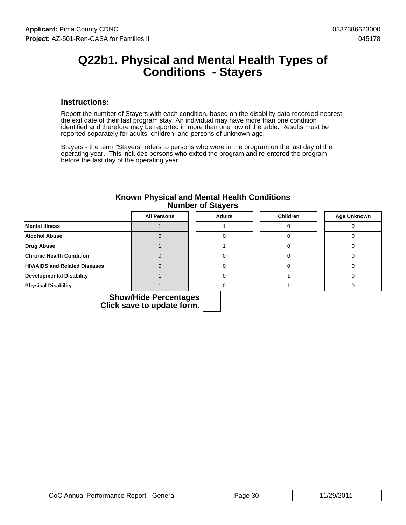### **Q22b1. Physical and Mental Health Types of Conditions - Stayers**

#### **Instructions:**

Report the number of Stayers with each condition, based on the disability data recorded nearest the exit date of their last program stay. An individual may have more than one condition identified and therefore may be reported in more than one row of the table. Results must be reported separately for adults, children, and persons of unknown age.

Stayers - the term "Stayers" refers to persons who were in the program on the last day of the operating year. This includes persons who exited the program and re-entered the program before the last day of the operating year.

|                                      | <b>All Persons</b> | <b>Adults</b> | <b>Children</b> | <b>Age Unknown</b> |
|--------------------------------------|--------------------|---------------|-----------------|--------------------|
| <b>Mental Illness</b>                |                    |               |                 |                    |
| <b>Alcohol Abuse</b>                 |                    |               |                 |                    |
| <b>Drug Abuse</b>                    |                    |               |                 |                    |
| <b>Chronic Health Condition</b>      |                    |               |                 |                    |
| <b>HIV/AIDS and Related Diseases</b> |                    |               |                 |                    |
| <b>Developmental Disability</b>      |                    |               |                 |                    |
| <b>Physical Disability</b>           |                    |               |                 |                    |

#### **Known Physical and Mental Health Conditions Number of Stayers**

| CoC Annual Performance Report - General | Page 30 | 11/29/2011 |
|-----------------------------------------|---------|------------|
|-----------------------------------------|---------|------------|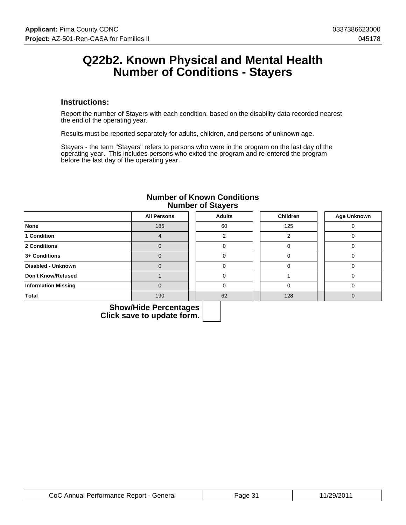### **Q22b2. Known Physical and Mental Health Number of Conditions - Stayers**

#### **Instructions:**

Report the number of Stayers with each condition, based on the disability data recorded nearest the end of the operating year.

Results must be reported separately for adults, children, and persons of unknown age.

Stayers - the term "Stayers" refers to persons who were in the program on the last day of the operating year. This includes persons who exited the program and re-entered the program before the last day of the operating year.

|                            | <b>All Persons</b> | <b>Adults</b> | Children | Age Unknown |
|----------------------------|--------------------|---------------|----------|-------------|
| None                       | 185                | 60            | 125      |             |
| 1 Condition                |                    |               |          |             |
| 2 Conditions               |                    |               |          |             |
| 3+ Conditions              |                    |               |          |             |
| Disabled - Unknown         |                    |               |          |             |
| Don't Know/Refused         |                    |               |          |             |
| <b>Information Missing</b> |                    |               |          |             |
| <b>Total</b>               | 190                | 62            | 128      |             |

#### **Number of Known Conditions Number of Stayers**

| CoC Annual Performance Report - General | Page 31 | 11/29/2011 |
|-----------------------------------------|---------|------------|
|-----------------------------------------|---------|------------|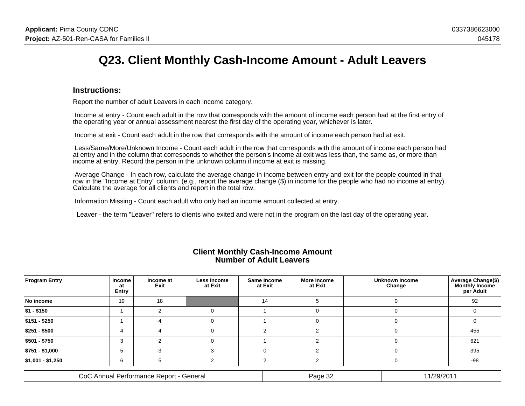# **Q23. Client Monthly Cash-Income Amount - Adult Leavers**

#### **Instructions:**

Report the number of adult Leavers in each income category.

 Income at entry - Count each adult in the row that corresponds with the amount of income each person had at the first entry ofthe operating year or annual assessment nearest the first day of the operating year, whichever is later.

Income at exit - Count each adult in the row that corresponds with the amount of income each person had at exit.

 Less/Same/More/Unknown Income - Count each adult in the row that corresponds with the amount of income each person hadat entry and in the column that corresponds to whether the person's income at exit was less than, the same as, or more thanincome at entry. Record the person in the unknown column if income at exit is missing.

 Average Change - In each row, calculate the average change in income between entry and exit for the people counted in that row in the "Income at Entry" column. (e.g., report the average change (\$) in income for the people who had no income at entry).Calculate the average for all clients and report in the total row.

Information Missing - Count each adult who only had an income amount collected at entry.

Leaver - the term "Leaver" refers to clients who exited and were not in the program on the last day of the operating year.

| <b>Program Entry</b>                    | <b>Income</b><br>at<br>Entry | Income at<br>Exit | Less Income<br>at Exit | Same Income<br>at Exit | <b>More Income</b><br>at Exit |          | Unknown Income<br>Change | <b>Average Change(\$)</b><br>per Adult |
|-----------------------------------------|------------------------------|-------------------|------------------------|------------------------|-------------------------------|----------|--------------------------|----------------------------------------|
| No income                               | 19                           | 18                |                        | 14                     |                               |          |                          | 92                                     |
| \$1 - \$150                             |                              |                   |                        |                        |                               |          | $\mathbf{O}$             |                                        |
| \$151 - \$250                           |                              |                   |                        |                        |                               |          |                          |                                        |
| \$251 - \$500                           | 4                            | 4                 |                        | າ                      |                               | $\Omega$ |                          | 455                                    |
| \$501 - \$750                           |                              |                   |                        |                        |                               |          |                          | 621                                    |
| \$751 - \$1,000                         | .5                           |                   |                        | $\Omega$               |                               |          | O                        | 395                                    |
| $ $1,001 - $1,250$                      | 6                            |                   |                        |                        |                               | $\Omega$ |                          | -98                                    |
| CoC Annual Performance Report - General |                              |                   |                        |                        | Page 32                       |          | 11/29/2011               |                                        |

#### **Client Monthly Cash-Income AmountNumber of Adult Leavers**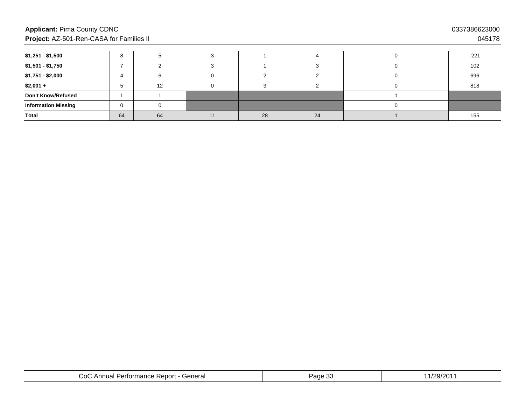### **Applicant:** Pima County CDNC**Project:** AZ-501-Ren-CASA for Families II

| $ $1,251 - $1,500$         | я  |    |    |    | $-221$ |
|----------------------------|----|----|----|----|--------|
| $ $1,501 - $1,750$         |    |    |    |    | 102    |
| $ $1,751 - $2,000$         |    |    |    |    | 696    |
| $ $2,001 +$                |    | 12 |    |    | 818    |
| Don't Know/Refused         |    |    |    |    |        |
| <b>Information Missing</b> |    |    |    |    |        |
| Total                      | 64 | 64 | 28 | 24 | 155    |

| eneralث<br>$\sim$<br>.<br>e Report<br>Perto<br>Anr<br>$\sim$<br>™ormance<br>lud<br>◡◡ | $\sim$ $\sim$<br>്പ<br>auc<br>. . | $\sim$<br>מכ<br>- |
|---------------------------------------------------------------------------------------|-----------------------------------|-------------------|
|---------------------------------------------------------------------------------------|-----------------------------------|-------------------|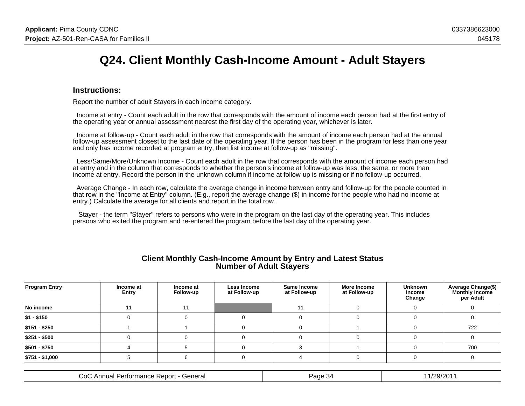## **Q24. Client Monthly Cash-Income Amount - Adult Stayers**

#### **Instructions:**

Report the number of adult Stayers in each income category.

 Income at entry - Count each adult in the row that corresponds with the amount of income each person had at the first entry ofthe operating year or annual assessment nearest the first day of the operating year, whichever is later.

 Income at follow-up - Count each adult in the row that corresponds with the amount of income each person had at the annual follow-up assessment closest to the last date of the operating year. If the person has been in the program for less than one yearand only has income recorded at program entry, then list income at follow-up as "missing".

 Less/Same/More/Unknown Income - Count each adult in the row that corresponds with the amount of income each person hadat entry and in the column that corresponds to whether the person's income at follow-up was less, the same, or more thanincome at entry. Record the person in the unknown column if income at follow-up is missing or if no follow-up occurred.

 Average Change - In each row, calculate the average change in income between entry and follow-up for the people counted inthat row in the "Income at Entry" column. (E.g., report the average change (\$) in income for the people who had no income atentry.) Calculate the average for all clients and report in the total row.

 Stayer - the term "Stayer" refers to persons who were in the program on the last day of the operating year. This includespersons who exited the program and re-entered the program before the last day of the operating year.

| <b>Client Monthly Cash-Income Amount by Entry and Latest Status</b> |  |  |
|---------------------------------------------------------------------|--|--|
| <b>Number of Adult Stayers</b>                                      |  |  |

| <b>Program Entry</b> | Income at<br>Entry | Income at<br>Follow-up | Less Income<br>at Follow-up | Same Income<br>at Follow-up | More Income<br>at Follow-up | <b>Unknown</b><br>Income<br>Change | Average Change(\$)<br><b>Monthly Income</b><br>per Adult |
|----------------------|--------------------|------------------------|-----------------------------|-----------------------------|-----------------------------|------------------------------------|----------------------------------------------------------|
| No income            | 11                 |                        |                             |                             |                             |                                    |                                                          |
| $ $1 - $150$         |                    |                        |                             |                             |                             |                                    |                                                          |
| $ $151 - $250$       |                    |                        |                             |                             |                             |                                    | 722                                                      |
| $ $251 - $500$       |                    |                        |                             |                             |                             |                                    |                                                          |
| $ $501 - $750$       |                    |                        |                             |                             |                             |                                    | 700                                                      |
| $ $751 - $1,000$     |                    |                        |                             |                             |                             |                                    |                                                          |

| eneralث<br>CoC<br>$L_{\alpha\alpha\alpha}$<br>Panc<br>Pertormance<br>. 1<br>≐Annua∟<br>$\sim$<br><b>REDUIT</b><br>uu | .29/201 |
|----------------------------------------------------------------------------------------------------------------------|---------|
|----------------------------------------------------------------------------------------------------------------------|---------|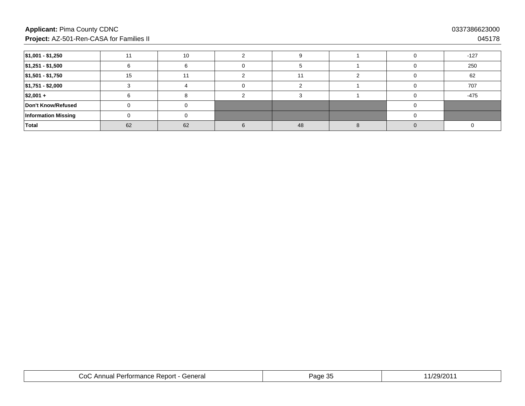### **Applicant:** Pima County CDNC**Project:** AZ-501-Ren-CASA for Families II

| $ $1,001 - $1,250$         |    |    |    |  | $-127$ |
|----------------------------|----|----|----|--|--------|
| $ $1,251 - $1,500$         |    |    |    |  | 250    |
| $ $1,501 - $1,750$         | 15 |    |    |  | 62     |
| $ $1,751 - $2,000$         |    |    |    |  | 707    |
| $ $2,001 +$                |    |    |    |  | $-475$ |
| Don't Know/Refused         |    |    |    |  |        |
| <b>Information Missing</b> |    |    |    |  |        |
| Total                      | 62 | 62 | 48 |  |        |

| General<br>$\sim$<br>Report<br>$\cdots$<br>$\cdots$<br>енон<br>ilidilut<br>$\mathbf{u}$<br>w | $\sim$<br>$\cdot$<br>.<br>ີ<br>. . | חר<br>. . |
|----------------------------------------------------------------------------------------------|------------------------------------|-----------|
|----------------------------------------------------------------------------------------------|------------------------------------|-----------|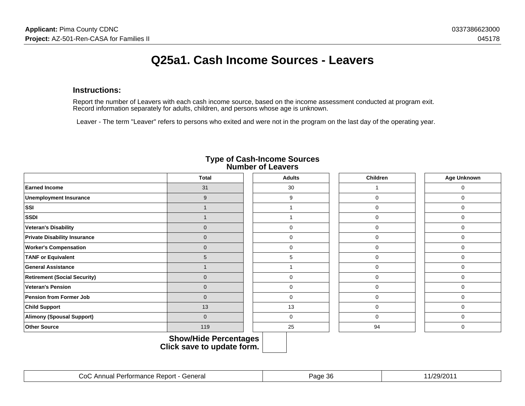### **Instructions:**

Report the number of Leavers with each cash income source, based on the income assessment conducted at program exit.Record information separately for adults, children, and persons whose age is unknown.

Leaver - The term "Leaver" refers to persons who exited and were not in the program on the last day of the operating year.

|                                     | <b>Total</b>                                        | <b>Adults</b> | <b>Children</b> | Age Unknown |
|-------------------------------------|-----------------------------------------------------|---------------|-----------------|-------------|
| <b>Earned Income</b>                | 31                                                  | 30            |                 | $\mathbf 0$ |
| <b>Unemployment Insurance</b>       | $9\,$                                               | 9             | $\Omega$        | $\Omega$    |
| SSI                                 | $\overline{1}$                                      |               | $\mathbf 0$     | $\mathbf 0$ |
| <b>SSDI</b>                         | $\overline{1}$                                      |               | $\mathbf 0$     | $\Omega$    |
| <b>Veteran's Disability</b>         | $\mathbf 0$                                         | 0             | 0               | $\mathbf 0$ |
| <b>Private Disability Insurance</b> | $\mathbf 0$                                         | $\mathbf 0$   | 0               | $\mathbf 0$ |
| <b>Worker's Compensation</b>        | $\mathbf 0$                                         | 0             | 0               | $\Omega$    |
| <b>TANF or Equivalent</b>           | 5                                                   | 5             | 0               | $\Omega$    |
| <b>General Assistance</b>           | 1                                                   |               | 0               | $\mathbf 0$ |
| <b>Retirement (Social Security)</b> | $\mathbf 0$                                         | 0             | 0               | $\Omega$    |
| <b>Veteran's Pension</b>            | $\mathbf 0$                                         | 0             | 0               | $\Omega$    |
| <b>Pension from Former Job</b>      | $\mathbf 0$                                         | 0             | 0               | $\mathbf 0$ |
| <b>Child Support</b>                | 13                                                  | 13            | 0               | $\mathbf 0$ |
| <b>Alimony (Spousal Support)</b>    | $\pmb{0}$                                           | 0             | 0               | $\mathbf 0$ |
| <b>Other Source</b>                 | 119                                                 | 25            | 94              | 0           |
|                                     | Show/Hide Percentages<br>Click save to update form. |               |                 |             |

# **Type of Cash-Income Sources Number of Leavers**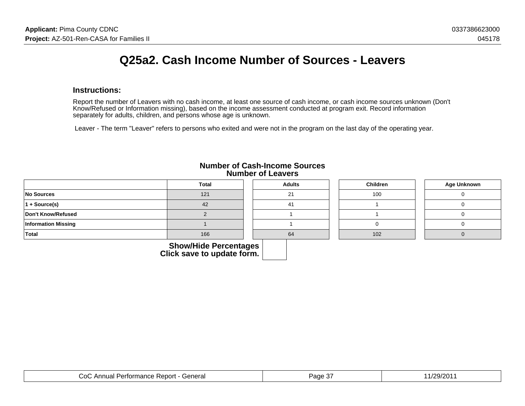## **Q25a2. Cash Income Number of Sources - Leavers**

#### **Instructions:**

Report the number of Leavers with no cash income, at least one source of cash income, or cash income sources unknown (Don'tKnow/Refused or Information missing), based on the income assessment conducted at program exit. Record information separately for adults, children, and persons whose age is unknown.

Leaver - The term "Leaver" refers to persons who exited and were not in the program on the last day of the operating year.

|                            | <b>Total</b>                                               | <b>Adults</b> | Children | Age Unknown |
|----------------------------|------------------------------------------------------------|---------------|----------|-------------|
| No Sources                 | 121                                                        | 21            | 100      |             |
| $1 + Source(s)$            | 42                                                         | 41            |          |             |
| Don't Know/Refused         |                                                            |               |          |             |
| <b>Information Missing</b> |                                                            |               |          |             |
| Total                      | 166                                                        | 64            | 102      |             |
|                            | <b>Show/Hide Percentages</b><br>Click save to update form. |               |          |             |

#### **Number of Cash-Income SourcesNumber of Leavers**

| `eneral<br>$\sim$<br>oor<br>erformance<br>, 15.<br>55 E L<br>JU.<br>iuai.<br>,我们也不能会在这里,我们也不能会在这里,我们也不能会不能会不能会不能会不能会不能会不能会不能会。""我们,我们也不能会不能会不能会不能会不能会不能会不能会不能 | $\sim$<br>$\sim 1 - \sim 1$<br>our.<br>. . | . וספי<br>$\mathbf{A}$ |
|---------------------------------------------------------------------------------------------------------------------------------------------------------------|--------------------------------------------|------------------------|
|---------------------------------------------------------------------------------------------------------------------------------------------------------------|--------------------------------------------|------------------------|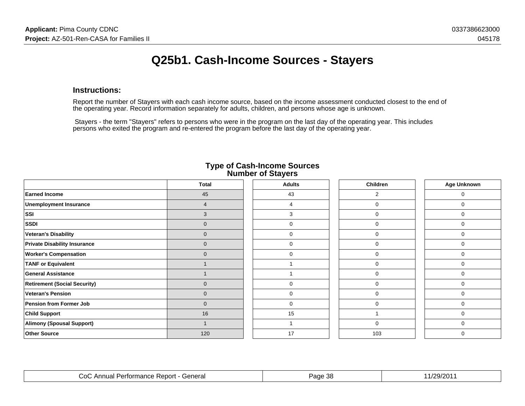# **Q25b1. Cash-Income Sources - Stayers**

### **Instructions:**

Report the number of Stayers with each cash income source, based on the income assessment conducted closest to the end ofthe operating year. Record information separately for adults, children, and persons whose age is unknown.

 Stayers - the term "Stayers" refers to persons who were in the program on the last day of the operating year. This includespersons who exited the program and re-entered the program before the last day of the operating year.

|                                     | <b>Total</b>   | <b>Adults</b> | <b>Children</b> | Age Unknown |
|-------------------------------------|----------------|---------------|-----------------|-------------|
| <b>Earned Income</b>                | 45             | 43            | 2               | 0           |
| <b>Unemployment Insurance</b>       | $\overline{4}$ | 4             | 0               | 0           |
| SSI                                 | 3              | 3             | $\mathbf 0$     | $\Omega$    |
| <b>SSDI</b>                         | $\mathbf 0$    | 0             | 0               | 0           |
| <b>Veteran's Disability</b>         | $\mathbf 0$    | 0             | $\mathbf 0$     | 0           |
| <b>Private Disability Insurance</b> | $\mathbf 0$    | 0             | $\mathbf{0}$    | $\Omega$    |
| <b>Worker's Compensation</b>        | $\mathbf 0$    | 0             | $\mathbf 0$     | $\Omega$    |
| <b>TANF or Equivalent</b>           |                |               | $\mathbf 0$     | $\Omega$    |
| <b>General Assistance</b>           |                |               | $\mathbf 0$     | $\Omega$    |
| <b>Retirement (Social Security)</b> | $\mathbf{0}$   | 0             | $\mathbf 0$     | $\Omega$    |
| <b>Veteran's Pension</b>            | $\overline{0}$ | 0             | 0               | $\Omega$    |
| <b>Pension from Former Job</b>      | $\mathbf 0$    | 0             | 0               | 0           |
| <b>Child Support</b>                | 16             | 15            |                 | $\Omega$    |
| Alimony (Spousal Support)           |                |               | 0               | $\Omega$    |
| <b>Other Source</b>                 | 120            | 17            | 103             | 0           |

#### **Type of Cash-Income SourcesNumber of Stayers**

| '∩ו<br>General<br>Annus<br>ormance<br>eport<br><b>Kt</b><br>ша | -38<br>Page<br>. | חרוםרו.<br>ラワビト |
|----------------------------------------------------------------|------------------|-----------------|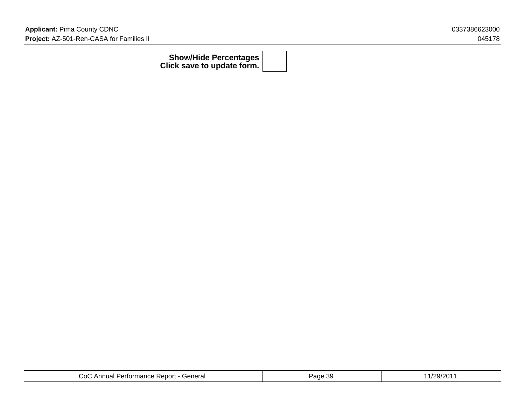| <b>Show/Hide Percentages  </b>    |  |
|-----------------------------------|--|
| Click save to update form. $\mid$ |  |

| CoC Annual Performance Report - General | Page 39 | /29/201' |
|-----------------------------------------|---------|----------|
|-----------------------------------------|---------|----------|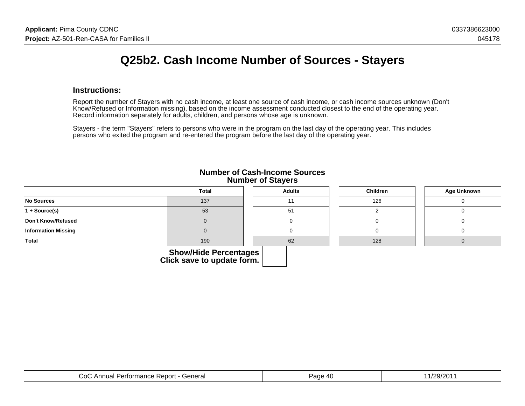## **Q25b2. Cash Income Number of Sources - Stayers**

#### **Instructions:**

Report the number of Stayers with no cash income, at least one source of cash income, or cash income sources unknown (Don'tKnow/Refused or Information missing), based on the income assessment conducted closest to the end of the operating year.Record information separately for adults, children, and persons whose age is unknown.

Stayers - the term "Stayers" refers to persons who were in the program on the last day of the operating year. This includespersons who exited the program and re-entered the program before the last day of the operating year.

|                            | <b>Total</b>            | <b>Adults</b> | <b>Children</b> | <b>Age Unknown</b> |
|----------------------------|-------------------------|---------------|-----------------|--------------------|
| No Sources                 | 137                     |               | 126             |                    |
| $ 1 + \text{Source}(s) $   | 53                      | 51            |                 |                    |
| Don't Know/Refused         |                         |               |                 |                    |
| <b>Information Missing</b> |                         |               |                 |                    |
| Total                      | 190                     | 62            | 128             |                    |
|                            | Chamillide Devenutement |               |                 |                    |

### **Number of Cash-Income SourcesNumber of Stayers**

| <b>Show/Hide Percentages  </b>    |  |
|-----------------------------------|--|
| Click save to update form. $\mid$ |  |

| :anara<br>$\ddot{\sim}$<br>пега<br>,我们也不能在这里,我们也不能会不能会不能会不能会不能会不能会不能会不能会。""我们,我们也不能会不能会不能会不能会不能会不能会不能会不能会不能会不能会不能会 | $\Lambda$<br>au |  |
|--------------------------------------------------------------------------------------------------------------------|-----------------|--|
|--------------------------------------------------------------------------------------------------------------------|-----------------|--|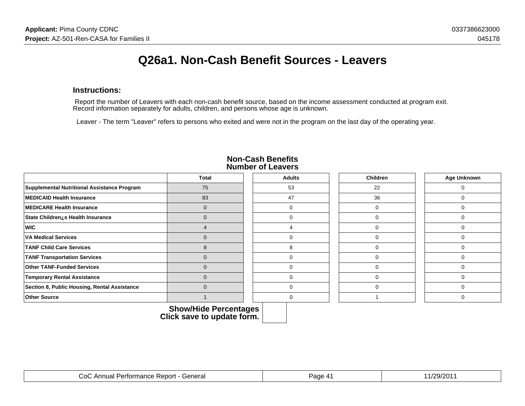## **Q26a1. Non-Cash Benefit Sources - Leavers**

### **Instructions:**

 Report the number of Leavers with each non-cash benefit source, based on the income assessment conducted at program exit.Record information separately for adults, children, and persons whose age is unknown.

Leaver - The term "Leaver" refers to persons who exited and were not in the program on the last day of the operating year.

|                                              | <b>Total</b> | <b>Adults</b> | <b>Children</b> | <b>Age Unknown</b> |
|----------------------------------------------|--------------|---------------|-----------------|--------------------|
| Supplemental Nutritional Assistance Program  | 75           | 53            | 22              |                    |
| <b>MEDICAID Health Insurance</b>             | 83           | 47            | 36              |                    |
| <b>MEDICARE Health Insurance</b>             | $\Omega$     |               |                 |                    |
| State Children¿s Health Insurance            | $\Omega$     |               | 0               |                    |
| <b>WIC</b>                                   |              |               | 0               |                    |
| <b>VA Medical Services</b>                   | $\Omega$     |               | 0               |                    |
| <b>TANF Child Care Services</b>              | 8            | 8             |                 |                    |
| <b>TANF Transportation Services</b>          | $\Omega$     |               |                 |                    |
| <b>Other TANF-Funded Services</b>            | $\Omega$     |               |                 |                    |
| <b>Temporary Rental Assistance</b>           | $\Omega$     |               |                 |                    |
| Section 8, Public Housing, Rental Assistance | $\Omega$     |               | ŋ               |                    |
| <b>Other Source</b>                          |              |               |                 |                    |

#### **Non-Cash BenefitsNumber of Leavers**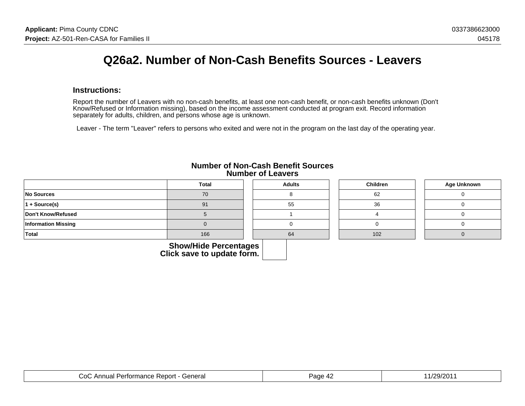## **Q26a2. Number of Non-Cash Benefits Sources - Leavers**

#### **Instructions:**

Report the number of Leavers with no non-cash benefits, at least one non-cash benefit, or non-cash benefits unknown (Don'tKnow/Refused or Information missing), based on the income assessment conducted at program exit. Record informationseparately for adults, children, and persons whose age is unknown.

Leaver - The term "Leaver" refers to persons who exited and were not in the program on the last day of the operating year.

|                            | <b>Total</b>                 | <b>Adults</b> | Children | <b>Age Unknown</b> |
|----------------------------|------------------------------|---------------|----------|--------------------|
| No Sources                 | 70                           |               | 62       |                    |
| $ 1 + \text{Source}(s) $   | 91                           | 55            | 36       |                    |
| Don't Know/Refused         |                              |               |          |                    |
| <b>Information Missing</b> |                              |               |          |                    |
| Total                      | 166                          | 64            | 102      |                    |
|                            | <b>Show/Hide Percentages</b> |               |          |                    |

### **Number of Non-Cash Benefit SourcesNumber of Leavers**

| General<br>. )∩`<br>- Report -<br>` Annual<br>Pertormance, | age<br>$\mathbf{\mu}$<br>ᅮ | 201.<br>$\mathcal{O}(1)$ |
|------------------------------------------------------------|----------------------------|--------------------------|
|------------------------------------------------------------|----------------------------|--------------------------|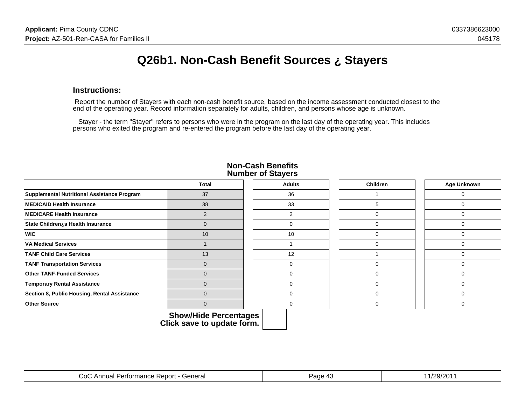# **Q26b1. Non-Cash Benefit Sources ¿ Stayers**

#### **Instructions:**

 Report the number of Stayers with each non-cash benefit source, based on the income assessment conducted closest to theend of the operating year. Record information separately for adults, children, and persons whose age is unknown.

 Stayer - the term "Stayer" refers to persons who were in the program on the last day of the operating year. This includespersons who exited the program and re-entered the program before the last day of the operating year.

|                                              | <b>Total</b>   | <b>Adults</b> | <b>Children</b> | Age Unknown |
|----------------------------------------------|----------------|---------------|-----------------|-------------|
| Supplemental Nutritional Assistance Program  | 37             | 36            |                 |             |
| MEDICAID Health Insurance                    | 38             | 33            | 5.              |             |
| MEDICARE Health Insurance                    | $\mathfrak{p}$ | C             | 0               |             |
| State Children¿s Health Insurance            | $\Omega$       |               | 0               |             |
| <b>WIC</b>                                   | 10             | 10            | 0               |             |
| <b>VA Medical Services</b>                   |                |               | 0               |             |
| <b>TANF Child Care Services</b>              | 13             | 12            |                 |             |
| <b>TANF Transportation Services</b>          | $\mathbf 0$    |               | $\Omega$        |             |
| <b>Other TANF-Funded Services</b>            | $\mathbf 0$    |               | 0               |             |
| <b>Temporary Rental Assistance</b>           | $\Omega$       |               | 0               |             |
| Section 8, Public Housing, Rental Assistance | $\Omega$       |               | 0               |             |
| <b>Other Source</b>                          | $\mathbf{0}$   | $\Omega$      | 0               |             |

#### **Non-Cash BenefitsNumber of Stayers**

| <br>'∩ו<br>) ( ) [<br>. .<br>151 G | -611.15<br>. . |  |
|------------------------------------|----------------|--|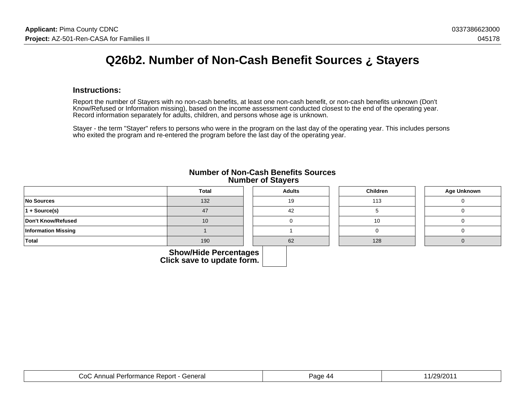# **Q26b2. Number of Non-Cash Benefit Sources ¿ Stayers**

#### **Instructions:**

Report the number of Stayers with no non-cash benefits, at least one non-cash benefit, or non-cash benefits unknown (Don't Know/Refused or Information missing), based on the income assessment conducted closest to the end of the operating year.Record information separately for adults, children, and persons whose age is unknown.

Stayer - the term "Stayer" refers to persons who were in the program on the last day of the operating year. This includes personswho exited the program and re-entered the program before the last day of the operating year.

|                            | Total                 | <b>Adults</b> | Children | Age Unknown |
|----------------------------|-----------------------|---------------|----------|-------------|
| No Sources                 | 132                   | 19            | 113      |             |
| $1 + Source(s)$            | 47                    | 42            |          |             |
| Don't Know/Refused         | 10                    |               | 10       |             |
| <b>Information Missing</b> |                       |               |          |             |
| Total                      | 190                   | 62            | 128      |             |
|                            | Chow/Hide Derecategoe |               |          |             |

#### **Number of Non-Cash Benefits Sources Number of Stayers**

| <b>Show/Hide Percentages</b> |  |
|------------------------------|--|
| Click save to update form.   |  |

| General<br>0٥.<br>Annual<br>Report<br>⊶ Pertormanc<br>ance i | age<br>- 7171 | ∖∩ר/∩ר |
|--------------------------------------------------------------|---------------|--------|
|--------------------------------------------------------------|---------------|--------|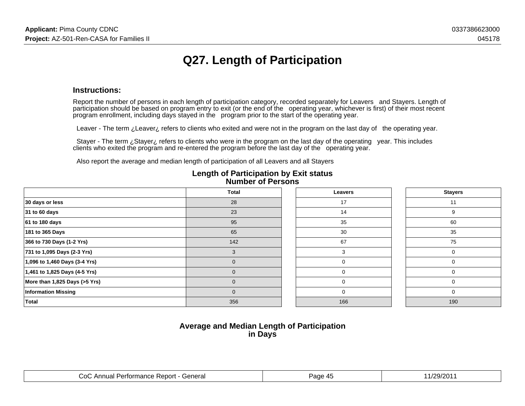# **Q27. Length of Participation**

#### **Instructions:**

Report the number of persons in each length of participation category, recorded separately for Leavers and Stayers. Length of participation should be based on program entry to exit (or the end of the operating year, whichever is first) of their most recentprogram enrollment, including days stayed in the program prior to the start of the operating year.

Leaver - The term ¿Leaver¿ refers to clients who exited and were not in the program on the last day of the operating year.

 Stayer - The term ¿Stayer¿ refers to clients who were in the program on the last day of the operating year. This includesclients who exited the program and re-entered the program before the last day of the operating year.

Also report the average and median length of participation of all Leavers and all Stayers

|                                 | Total |  | Leavers |  | <b>Stayers</b> |
|---------------------------------|-------|--|---------|--|----------------|
| 30 days or less                 | 28    |  | 17      |  | 11             |
| 31 to 60 days                   | 23    |  | 14      |  | 9              |
| 61 to 180 days                  | 95    |  | 35      |  | 60             |
| 181 to 365 Days                 | 65    |  | 30      |  | 35             |
| 366 to 730 Days (1-2 Yrs)       | 142   |  | 67      |  | 75             |
| 731 to 1,095 Days (2-3 Yrs)     |       |  |         |  | 0              |
| 1,096 to 1,460 Days (3-4 Yrs)   | 0     |  | 0       |  | 0              |
| $1,461$ to 1,825 Days (4-5 Yrs) | 0     |  | 0       |  | 0              |
| More than 1,825 Days (>5 Yrs)   | 0     |  | 0       |  | 0              |
| <b>Information Missing</b>      | 0     |  | 0       |  | 0              |
| <b>Total</b>                    | 356   |  | 166     |  | 190            |

#### **Length of Participation by Exit statusNumber of Persons**

### **Average and Median Length of Participationin Days**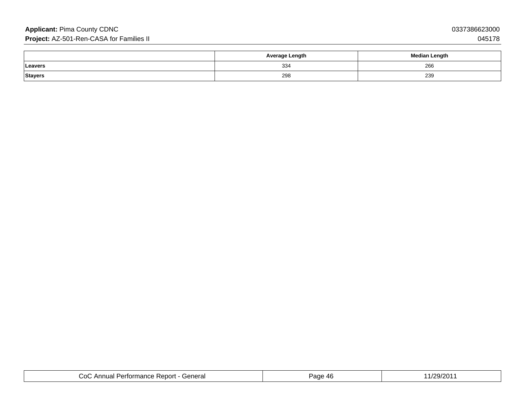### **Applicant:** Pima County CDNC**Project:** AZ-501-Ren-CASA for Families II

|         | <b>Average Length</b> | <b>Median Length</b> |
|---------|-----------------------|----------------------|
| Leavers | 334                   | 266                  |
| Stayers | 298                   | 239<br>$ -$          |

| General<br>Co(<br>$\overline{\phantom{a}}$<br>. Report<br>$-1000$<br>Pertor<br>$\cdots$<br>. Iud'<br>юc<br>the contract of the contract of the contract of the contract of the contract of the contract of the contract of | Page<br>11 L<br>. . | $\sim$<br>∤∩ר<br>44<br>. |
|----------------------------------------------------------------------------------------------------------------------------------------------------------------------------------------------------------------------------|---------------------|--------------------------|
|----------------------------------------------------------------------------------------------------------------------------------------------------------------------------------------------------------------------------|---------------------|--------------------------|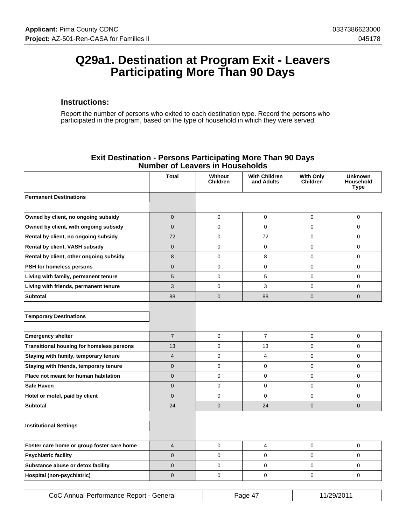### **Q29a1. Destination at Program Exit - Leavers Participating More Than 90 Days**

#### **Instructions:**

Report the number of persons who exited to each destination type. Record the persons who participated in the program, based on the type of household in which they were served.

| Number of Leavers in Households            |                |                            |                                    |                              |                                     |  |
|--------------------------------------------|----------------|----------------------------|------------------------------------|------------------------------|-------------------------------------|--|
|                                            | <b>Total</b>   | Without<br><b>Children</b> | <b>With Children</b><br>and Adults | With Only<br><b>Children</b> | <b>Unknown</b><br>Household<br>Type |  |
| <b>Permanent Destinations</b>              |                |                            |                                    |                              |                                     |  |
|                                            |                |                            |                                    |                              |                                     |  |
| Owned by client, no ongoing subsidy        | $\overline{0}$ | $\Omega$                   | 0                                  | $\Omega$                     | $\Omega$                            |  |
| Owned by client, with ongoing subsidy      | $\mathbf 0$    | $\mathbf 0$                | 0                                  | $\mathbf 0$                  | $\mathbf 0$                         |  |
| Rental by client, no ongoing subsidy       | 72             | 0                          | 72                                 | $\mathbf 0$                  | $\Omega$                            |  |
| Rental by client, VASH subsidy             | $\overline{0}$ | $\mathbf 0$                | $\mathbf 0$                        | $\mathbf 0$                  | $\Omega$                            |  |
| Rental by client, other ongoing subsidy    | 8              | $\mathbf 0$                | 8                                  | $\Omega$                     | $\Omega$                            |  |
| PSH for homeless persons                   | $\mathbf 0$    | $\mathbf 0$                | 0                                  | $\Omega$                     | $\Omega$                            |  |
| Living with family, permanent tenure       | 5              | $\Omega$                   | 5                                  | $\Omega$                     | $\Omega$                            |  |
| Living with friends, permanent tenure      | 3              | 0                          | 3                                  | 0                            | $\mathbf 0$                         |  |
| <b>Subtotal</b>                            | 88             | $\mathbf 0$                | 88                                 | 0                            | $\mathbf{0}$                        |  |
|                                            |                |                            |                                    |                              |                                     |  |
| <b>Temporary Destinations</b>              |                |                            |                                    |                              |                                     |  |
|                                            |                |                            |                                    |                              |                                     |  |
| <b>Emergency shelter</b>                   | $\overline{7}$ | $\mathbf 0$                | $\overline{7}$                     | $\mathbf 0$                  | $\mathbf 0$                         |  |
| Transitional housing for homeless persons  | 13             | $\mathbf 0$                | 13                                 | 0                            | $\Omega$                            |  |
| Staying with family, temporary tenure      | $\overline{4}$ | $\mathbf 0$                | 4                                  | $\mathbf 0$                  | $\mathbf 0$                         |  |
| Staying with friends, temporary tenure     | 0              | $\mathbf 0$                | 0                                  | $\mathbf 0$                  | $\Omega$                            |  |
| Place not meant for human habitation       | $\overline{0}$ | $\mathbf 0$                | 0                                  | $\mathbf 0$                  | $\Omega$                            |  |
| <b>Safe Haven</b>                          | $\overline{0}$ | $\mathbf 0$                | 0                                  | $\Omega$                     | $\Omega$                            |  |
| Hotel or motel, paid by client             | $\overline{0}$ | $\mathbf 0$                | 0                                  | $\Omega$                     | $\Omega$                            |  |
| <b>Subtotal</b>                            | 24             | $\Omega$                   | 24                                 | $\mathbf 0$                  | $\Omega$                            |  |
|                                            |                |                            |                                    |                              |                                     |  |
| <b>Institutional Settings</b>              |                |                            |                                    |                              |                                     |  |
|                                            |                |                            |                                    |                              |                                     |  |
| Foster care home or group foster care home | $\overline{4}$ | $\overline{0}$             | $\overline{4}$                     | 0                            | $\mathbf 0$                         |  |
| <b>Psychiatric facility</b>                | $\overline{0}$ | $\mathbf 0$                | 0                                  | 0                            | 0                                   |  |
| Substance abuse or detox facility          | 0              | 0                          | 0                                  | 0                            | 0                                   |  |
| Hospital (non-psychiatric)                 | $\overline{0}$ | $\mathbf 0$                | 0                                  | 0                            | $\mathbf 0$                         |  |
|                                            |                |                            |                                    |                              |                                     |  |

#### **Exit Destination - Persons Participating More Than 90 Days Number of Leavers in Households**

| CoC Annual Performance Report - General | Page 41 | 11/29/2011 |
|-----------------------------------------|---------|------------|
|-----------------------------------------|---------|------------|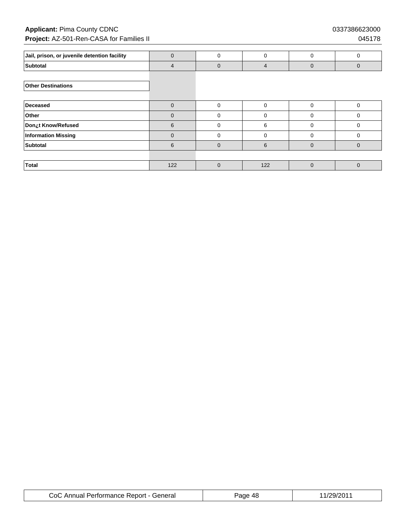### **Applicant:** Pima County CDNC 0337386623000 **Project:** AZ-501-Ren-CASA for Families II **Department of the CASA for Families II** 045178

| Jail, prison, or juvenile detention facility | $\Omega$ | $\Omega$     | 0        | $\Omega$     | $\Omega$     |
|----------------------------------------------|----------|--------------|----------|--------------|--------------|
| <b>Subtotal</b>                              | 4        | $\Omega$     | 4        | $\Omega$     | $\mathbf{0}$ |
|                                              |          |              |          |              |              |
| <b>Other Destinations</b>                    |          |              |          |              |              |
|                                              |          |              |          |              |              |
| Deceased                                     | $\Omega$ | $\Omega$     | $\Omega$ | $\Omega$     | 0            |
| Other                                        | $\Omega$ | $\mathbf 0$  | $\Omega$ | $\Omega$     | $\mathbf 0$  |
| Don¿t Know/Refused                           | 6        | $\mathbf 0$  | 6        | $\Omega$     | $\mathbf 0$  |
| <b>Information Missing</b>                   | $\Omega$ | $\mathbf 0$  | $\Omega$ | $\Omega$     | $\mathbf 0$  |
| <b>Subtotal</b>                              | 6        | $\mathbf{0}$ | 6        | $\mathbf{0}$ | $\mathbf{0}$ |
|                                              |          |              |          |              |              |
| <b>Total</b>                                 | 122      | $\Omega$     | 122      | $\Omega$     | $\Omega$     |

| CoC Annual Performance Report - General | age<br>-48 | 1/29/201 |
|-----------------------------------------|------------|----------|
|-----------------------------------------|------------|----------|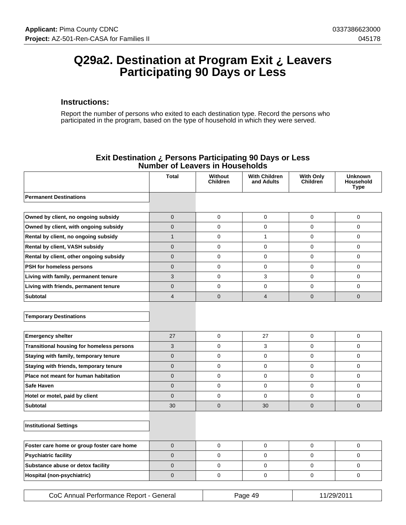### **Q29a2. Destination at Program Exit ¿ Leavers Participating 90 Days or Less**

#### **Instructions:**

Report the number of persons who exited to each destination type. Record the persons who participated in the program, based on the type of household in which they were served.

|                                            | וטשם וכ        | <u>3 III I IVUJUIVIU</u>   |                                    |                              |                                     |
|--------------------------------------------|----------------|----------------------------|------------------------------------|------------------------------|-------------------------------------|
|                                            | Total          | Without<br><b>Children</b> | <b>With Children</b><br>and Adults | <b>With Only</b><br>Children | <b>Unknown</b><br>Household<br>Type |
| <b>Permanent Destinations</b>              |                |                            |                                    |                              |                                     |
|                                            |                |                            |                                    |                              |                                     |
| Owned by client, no ongoing subsidy        | 0              | $\mathbf 0$                | $\mathbf 0$                        | $\mathbf 0$                  | 0                                   |
| Owned by client, with ongoing subsidy      | 0              | $\mathbf 0$                | $\pmb{0}$                          | 0                            | 0                                   |
| Rental by client, no ongoing subsidy       | $\mathbf{1}$   | $\mathbf 0$                | $\mathbf{1}$                       | 0                            | 0                                   |
| Rental by client, VASH subsidy             | 0              | $\mathbf 0$                | $\mathbf 0$                        | $\mathbf 0$                  | $\Omega$                            |
| Rental by client, other ongoing subsidy    | $\overline{0}$ | $\Omega$                   | $\mathbf 0$                        | $\Omega$                     | $\Omega$                            |
| PSH for homeless persons                   | $\overline{0}$ | $\mathbf 0$                | $\mathbf 0$                        | $\mathbf 0$                  | $\Omega$                            |
| Living with family, permanent tenure       | 3              | $\mathbf 0$                | 3                                  | $\mathbf 0$                  | 0                                   |
| Living with friends, permanent tenure      | $\overline{0}$ | $\Omega$                   | $\mathbf 0$                        | $\mathbf 0$                  | $\Omega$                            |
| <b>Subtotal</b>                            | $\overline{4}$ | $\mathbf 0$                | $\overline{4}$                     | $\mathbf 0$                  | $\overline{0}$                      |
|                                            |                |                            |                                    |                              |                                     |
| <b>Temporary Destinations</b>              |                |                            |                                    |                              |                                     |
|                                            |                |                            |                                    |                              |                                     |
| <b>Emergency shelter</b>                   | 27             | $\mathbf 0$                | 27                                 | $\mathbf 0$                  | 0                                   |
| Transitional housing for homeless persons  | 3              | $\mathbf 0$                | 3                                  | 0                            | 0                                   |
| Staying with family, temporary tenure      | 0              | $\mathbf 0$                | $\mathbf 0$                        | $\mathbf 0$                  | $\Omega$                            |
| Staying with friends, temporary tenure     | $\mathbf 0$    | $\mathbf 0$                | $\pmb{0}$                          | $\mathbf 0$                  | $\Omega$                            |
| Place not meant for human habitation       | $\overline{0}$ | $\mathbf 0$                | $\mathbf 0$                        | $\mathbf 0$                  | $\Omega$                            |
| <b>Safe Haven</b>                          | $\overline{0}$ | $\mathbf 0$                | $\mathbf 0$                        | $\mathbf 0$                  | 0                                   |
| Hotel or motel, paid by client             | $\overline{0}$ | $\mathbf 0$                | $\mathbf 0$                        | $\mathbf 0$                  | $\Omega$                            |
| Subtotal                                   | 30             | $\mathbf{0}$               | 30                                 | $\mathbf{0}$                 | $\overline{0}$                      |
|                                            |                |                            |                                    |                              |                                     |
| <b>Institutional Settings</b>              |                |                            |                                    |                              |                                     |
|                                            |                |                            |                                    |                              |                                     |
| Foster care home or group foster care home | 0              | $\pmb{0}$                  | $\pmb{0}$                          | $\mathbf 0$                  | 0                                   |
| <b>Psychiatric facility</b>                | 0              | $\mathbf 0$                | 0                                  | 0                            | $\Omega$                            |
| Substance abuse or detox facility          | $\overline{0}$ | $\mathbf 0$                | $\mathbf 0$                        | $\mathbf 0$                  | $\Omega$                            |
| Hospital (non-psychiatric)                 | $\overline{0}$ | $\mathbf 0$                | $\mathbf 0$                        | 0                            | $\Omega$                            |
|                                            |                |                            |                                    |                              |                                     |

#### **Exit Destination ¿ Persons Participating 90 Days or Less Number of Leavers in Households**

| CoC Annual Performance Report - General | Page 49 | 11/29/2011 |
|-----------------------------------------|---------|------------|
|-----------------------------------------|---------|------------|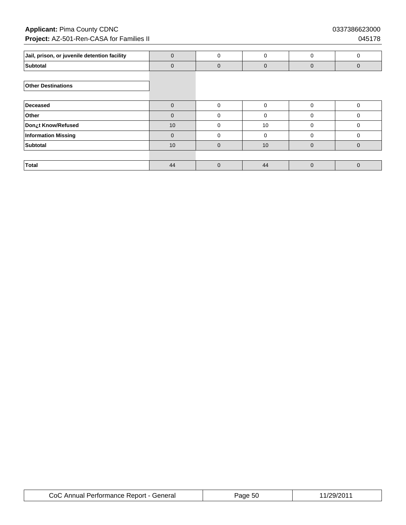### **Applicant:** Pima County CDNC 0337386623000 **Project:** AZ-501-Ren-CASA for Families II **Department of the CASA for Families II** 045178

| Jail, prison, or juvenile detention facility | 0        | $\Omega$     | 0           | 0            | $\Omega$     |
|----------------------------------------------|----------|--------------|-------------|--------------|--------------|
| Subtotal                                     | $\Omega$ | $\mathbf{0}$ | $\mathbf 0$ | $\mathbf{0}$ | $\mathbf{0}$ |
|                                              |          |              |             |              |              |
| <b>Other Destinations</b>                    |          |              |             |              |              |
|                                              |          |              |             |              |              |
| Deceased                                     | $\Omega$ | $\mathbf 0$  | 0           | $\Omega$     | 0            |
| Other                                        | $\Omega$ | $\mathbf 0$  | 0           | 0            | 0            |
| Don¿t Know/Refused                           | 10       | $\mathbf 0$  | 10          | 0            | 0            |
| <b>Information Missing</b>                   | $\Omega$ | $\mathbf 0$  | 0           | 0            | 0            |
| <b>Subtotal</b>                              | 10       | $\mathbf{0}$ | 10          | $\mathbf{0}$ | $\mathbf{0}$ |
|                                              |          |              |             |              |              |
| <b>Total</b>                                 | 44       | $\Omega$     | 44          | $\Omega$     | $\Omega$     |

| CoC Annual Performance Report - General | Page 50 | 11/29/2011 |
|-----------------------------------------|---------|------------|
|-----------------------------------------|---------|------------|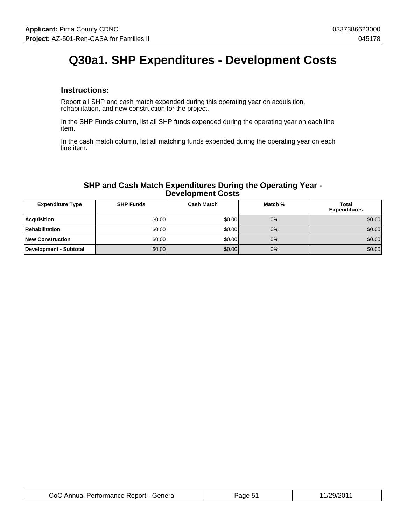# **Q30a1. SHP Expenditures - Development Costs**

#### **Instructions:**

Report all SHP and cash match expended during this operating year on acquisition, rehabilitation, and new construction for the project.

In the SHP Funds column, list all SHP funds expended during the operating year on each line item.

In the cash match column, list all matching funds expended during the operating year on each line item.

#### **SHP and Cash Match Expenditures During the Operating Year - Development Costs**

| <b>Expenditure Type</b> | <b>SHP Funds</b> | Cash Match | Match % | <b>Total</b><br><b>Expenditures</b> |
|-------------------------|------------------|------------|---------|-------------------------------------|
| Acquisition             | \$0.00           | \$0.00     | 0%      | \$0.00                              |
| Rehabilitation          | \$0.00           | \$0.00     | 0%      | \$0.00                              |
| <b>New Construction</b> | \$0.00           | \$0.00     | 0%      | \$0.00                              |
| Development - Subtotal  | \$0.00           | \$0.00     | 0%      | \$0.00                              |

| CoC Annual Performance Report - General | aae 5 | 11/29/2011 |
|-----------------------------------------|-------|------------|
|-----------------------------------------|-------|------------|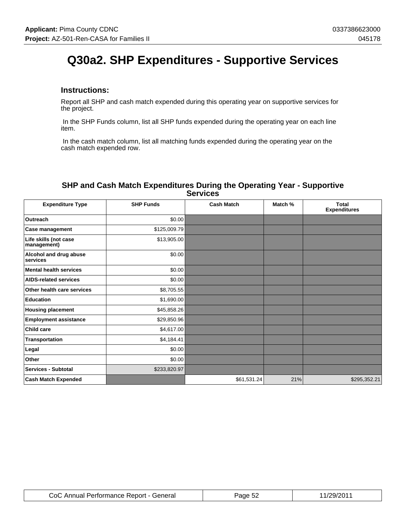# **Q30a2. SHP Expenditures - Supportive Services**

#### **Instructions:**

Report all SHP and cash match expended during this operating year on supportive services for the project.

 In the SHP Funds column, list all SHP funds expended during the operating year on each line item.

 In the cash match column, list all matching funds expended during the operating year on the cash match expended row.

#### **SHP and Cash Match Expenditures During the Operating Year - Supportive Services**

| <b>Expenditure Type</b>              | <b>SHP Funds</b> | <b>Cash Match</b> | Match % | <b>Total</b><br><b>Expenditures</b> |
|--------------------------------------|------------------|-------------------|---------|-------------------------------------|
| <b>Outreach</b>                      | \$0.00           |                   |         |                                     |
| <b>Case management</b>               | \$125,009.79     |                   |         |                                     |
| Life skills (not case<br>management) | \$13,905.00      |                   |         |                                     |
| Alcohol and drug abuse<br>services   | \$0.00           |                   |         |                                     |
| <b>Mental health services</b>        | \$0.00           |                   |         |                                     |
| <b>AIDS-related services</b>         | \$0.00           |                   |         |                                     |
| Other health care services           | \$8,705.55       |                   |         |                                     |
| <b>Education</b>                     | \$1,690.00       |                   |         |                                     |
| <b>Housing placement</b>             | \$45,858.26      |                   |         |                                     |
| <b>Employment assistance</b>         | \$29,850.96      |                   |         |                                     |
| Child care                           | \$4,617.00       |                   |         |                                     |
| Transportation                       | \$4,184.41       |                   |         |                                     |
| Legal                                | \$0.00]          |                   |         |                                     |
| Other                                | \$0.00           |                   |         |                                     |
| <b>Services - Subtotal</b>           | \$233,820.97     |                   |         |                                     |
| <b>Cash Match Expended</b>           |                  | \$61,531.24       | 21%     | \$295,352.21                        |

| CoC Annual Performance Report - General | Page 52 | 11/29/2011 |
|-----------------------------------------|---------|------------|
|-----------------------------------------|---------|------------|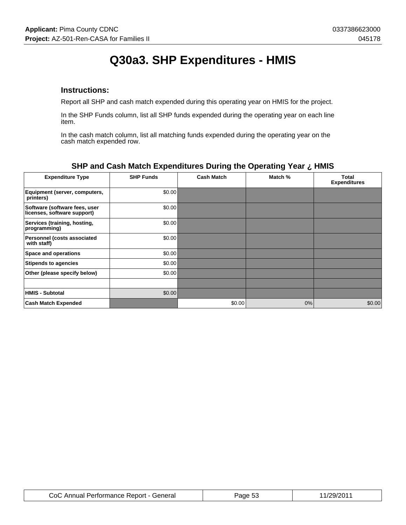# **Q30a3. SHP Expenditures - HMIS**

#### **Instructions:**

Report all SHP and cash match expended during this operating year on HMIS for the project.

In the SHP Funds column, list all SHP funds expended during the operating year on each line item.

In the cash match column, list all matching funds expended during the operating year on the cash match expended row.

| <b>Expenditure Type</b>                                      | <b>SHP Funds</b> | <b>Cash Match</b> | Match % | Total<br><b>Expenditures</b> |
|--------------------------------------------------------------|------------------|-------------------|---------|------------------------------|
| Equipment (server, computers,<br>printers)                   | \$0.00           |                   |         |                              |
| Software (software fees, user<br>licenses, software support) | \$0.00           |                   |         |                              |
| Services (training, hosting,<br>programming)                 | \$0.00           |                   |         |                              |
| <b>Personnel (costs associated</b><br>with staff)            | \$0.00           |                   |         |                              |
| Space and operations                                         | \$0.00           |                   |         |                              |
| <b>Stipends to agencies</b>                                  | \$0.00           |                   |         |                              |
| Other (please specify below)                                 | \$0.00           |                   |         |                              |
|                                                              |                  |                   |         |                              |
| <b>HMIS - Subtotal</b>                                       | \$0.00           |                   |         |                              |
| <b>Cash Match Expended</b>                                   |                  | \$0.00            | $0\%$   | \$0.00                       |

### **SHP and Cash Match Expenditures During the Operating Year ¿ HMIS**

| CoC Annual Performance Report - General | 'age 5.<br>- 72 | .1/29/201 |
|-----------------------------------------|-----------------|-----------|
|-----------------------------------------|-----------------|-----------|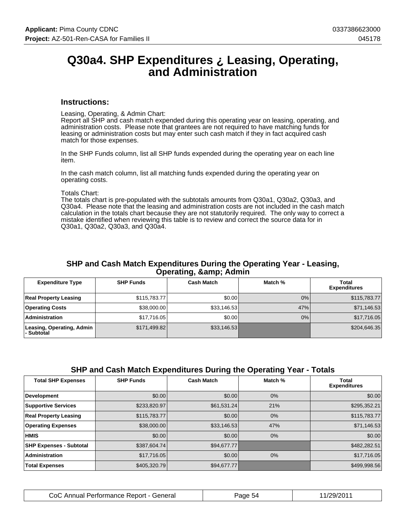### **Q30a4. SHP Expenditures ¿ Leasing, Operating, and Administration**

#### **Instructions:**

Leasing, Operating, & Admin Chart:

Report all SHP and cash match expended during this operating year on leasing, operating, and administration costs. Please note that grantees are not required to have matching funds for leasing or administration costs but may enter such cash match if they in fact acquired cash match for those expenses.

In the SHP Funds column, list all SHP funds expended during the operating year on each line item.

In the cash match column, list all matching funds expended during the operating year on operating costs.

Totals Chart:

The totals chart is pre-populated with the subtotals amounts from Q30a1, Q30a2, Q30a3, and Q30a4. Please note that the leasing and administration costs are not included in the cash match calculation in the totals chart because they are not statutorily required. The only way to correct a mistake identified when reviewing this table is to review and correct the source data for in Q30a1, Q30a2, Q30a3, and Q30a4.

#### **SHP and Cash Match Expenditures During the Operating Year - Leasing, Operating, & amp; Admin**

| <b>Expenditure Type</b>                 | <b>SHP Funds</b> | <b>Cash Match</b> | Match % | Total<br><b>Expenditures</b> |
|-----------------------------------------|------------------|-------------------|---------|------------------------------|
| <b>Real Property Leasing</b>            | \$115,783.77     | \$0.00            | 0%      | \$115,783.77                 |
| <b>Operating Costs</b>                  | \$38,000.00      | \$33,146.53       | 47%     | \$71,146.53                  |
| Administration                          | \$17.716.05      | \$0.00            | 0%      | \$17,716.05                  |
| Leasing, Operating, Admin<br>- Subtotal | \$171,499.82     | \$33,146.53       |         | \$204,646.35                 |

#### **SHP and Cash Match Expenditures During the Operating Year - Totals**

| <b>Total SHP Expenses</b>      | <b>SHP Funds</b> | <b>Cash Match</b> | Match % | Total<br><b>Expenditures</b> |
|--------------------------------|------------------|-------------------|---------|------------------------------|
| <b>Development</b>             | \$0.00           | \$0.00            | $0\%$   | \$0.00                       |
| <b>Supportive Services</b>     | \$233,820.97     | \$61,531.24       | 21%     | \$295,352.21                 |
| <b>Real Property Leasing</b>   | \$115,783.77     | \$0.00            | $0\%$   | \$115,783.77                 |
| <b>Operating Expenses</b>      | \$38,000.00      | \$33,146.53       | 47%     | \$71,146.53                  |
| <b>HMIS</b>                    | \$0.00           | \$0.00            | $0\%$   | \$0.00                       |
| <b>SHP Expenses - Subtotal</b> | \$387,604.74     | \$94,677.77       |         | \$482,282.51                 |
| Administration                 | \$17,716.05      | \$0.00            | $0\%$   | \$17,716.05                  |
| <b>Total Expenses</b>          | \$405,320.79     | \$94,677.77       |         | \$499,998.56                 |

| CoC .<br>;Annual Performance Report - General | Page 54 | 11/29/2011 |
|-----------------------------------------------|---------|------------|
|-----------------------------------------------|---------|------------|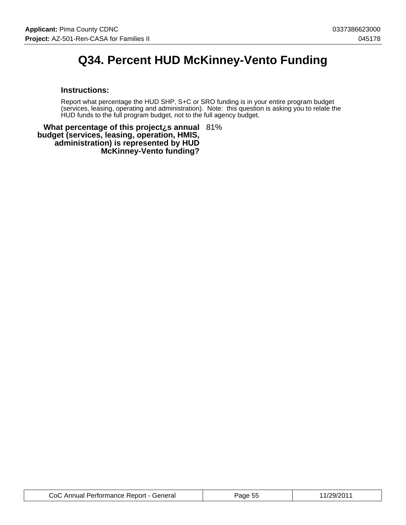# **Q34. Percent HUD McKinney-Vento Funding**

#### **Instructions:**

Report what percentage the HUD SHP, S+C or SRO funding is in your entire program budget (services, leasing, operating and administration). Note: this question is asking you to relate the HUD funds to the full program budget, not to the full agency budget.

**What percentage of this project¿s annual** 81% **budget (services, leasing, operation, HMIS, administration) is represented by HUD McKinney-Vento funding?**

| CoC Annual Performance Report - General | Page 55 | 11/29/2011 |
|-----------------------------------------|---------|------------|
|-----------------------------------------|---------|------------|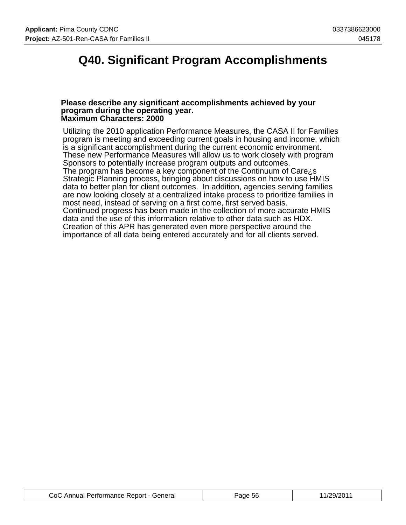## **Q40. Significant Program Accomplishments**

#### **Please describe any significant accomplishments achieved by your program during the operating year. Maximum Characters: 2000**

Utilizing the 2010 application Performance Measures, the CASA II for Families program is meeting and exceeding current goals in housing and income, which is a significant accomplishment during the current economic environment. These new Performance Measures will allow us to work closely with program Sponsors to potentially increase program outputs and outcomes. The program has become a key component of the Continuum of Care¿s Strategic Planning process, bringing about discussions on how to use HMIS data to better plan for client outcomes. In addition, agencies serving families are now looking closely at a centralized intake process to prioritize families in most need, instead of serving on a first come, first served basis. Continued progress has been made in the collection of more accurate HMIS data and the use of this information relative to other data such as HDX. Creation of this APR has generated even more perspective around the importance of all data being entered accurately and for all clients served.

| CoC Annual Performance Report - General | Page 56 | 11/29/2011 |
|-----------------------------------------|---------|------------|
|-----------------------------------------|---------|------------|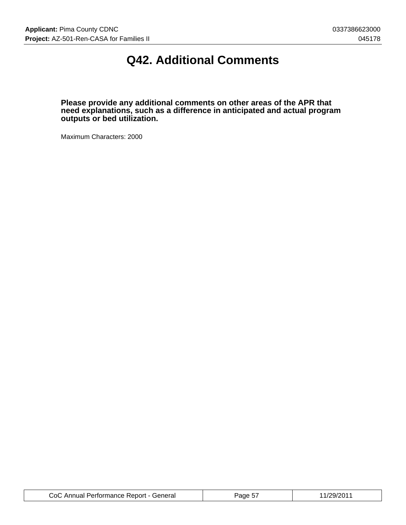# **Q42. Additional Comments**

**Please provide any additional comments on other areas of the APR that need explanations, such as a difference in anticipated and actual program outputs or bed utilization.**

Maximum Characters: 2000

| CoC Annual Performance Report - General | Page 57 | 11/29/2011 |
|-----------------------------------------|---------|------------|
|-----------------------------------------|---------|------------|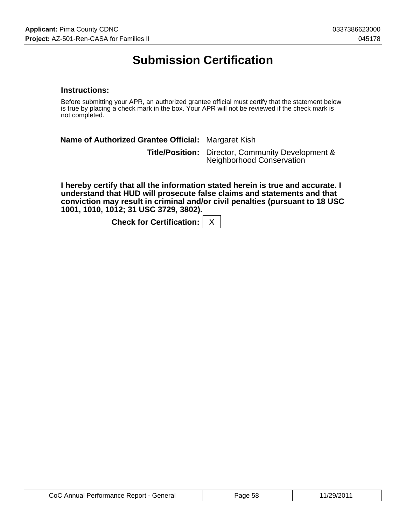# **Submission Certification**

#### **Instructions:**

Before submitting your APR, an authorized grantee official must certify that the statement below is true by placing a check mark in the box. Your APR will not be reviewed if the check mark is not completed.

**Name of Authorized Grantee Official:** Margaret Kish **Title/Position:** Director, Community Development & Neighborhood Conservation

**I hereby certify that all the information stated herein is true and accurate. I understand that HUD will prosecute false claims and statements and that conviction may result in criminal and/or civil penalties (pursuant to 18 USC 1001, 1010, 1012; 31 USC 3729, 3802).**

**Check for Certification:** | X

| CoC Annual Performance Report - General | Page 58 | 11/29/2011 |
|-----------------------------------------|---------|------------|
|-----------------------------------------|---------|------------|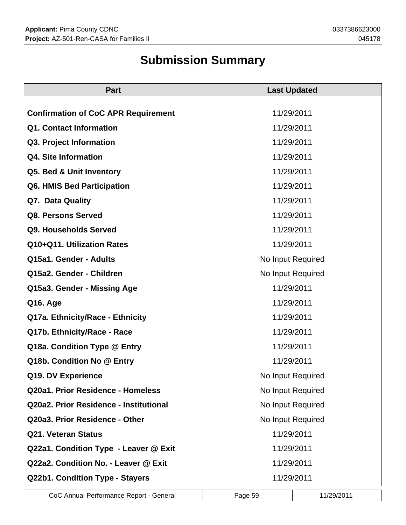# **Submission Summary**

| <b>Part</b>                                | <b>Last Updated</b> |  |  |
|--------------------------------------------|---------------------|--|--|
|                                            |                     |  |  |
| <b>Confirmation of CoC APR Requirement</b> | 11/29/2011          |  |  |
| Q1. Contact Information                    | 11/29/2011          |  |  |
| Q3. Project Information                    | 11/29/2011          |  |  |
| Q4. Site Information                       | 11/29/2011          |  |  |
| Q5. Bed & Unit Inventory                   | 11/29/2011          |  |  |
| Q6. HMIS Bed Participation                 | 11/29/2011          |  |  |
| Q7. Data Quality                           | 11/29/2011          |  |  |
| Q8. Persons Served                         | 11/29/2011          |  |  |
| Q9. Households Served                      | 11/29/2011          |  |  |
| Q10+Q11. Utilization Rates                 | 11/29/2011          |  |  |
| Q15a1. Gender - Adults                     | No Input Required   |  |  |
| Q15a2. Gender - Children                   | No Input Required   |  |  |
| Q15a3. Gender - Missing Age                | 11/29/2011          |  |  |
| Q16. Age                                   | 11/29/2011          |  |  |
| Q17a. Ethnicity/Race - Ethnicity           | 11/29/2011          |  |  |
| Q17b. Ethnicity/Race - Race                | 11/29/2011          |  |  |
| Q18a. Condition Type @ Entry               | 11/29/2011          |  |  |
| Q18b. Condition No @ Entry                 | 11/29/2011          |  |  |
| Q19. DV Experience                         | No Input Required   |  |  |
| Q20a1. Prior Residence - Homeless          | No Input Required   |  |  |
| Q20a2. Prior Residence - Institutional     | No Input Required   |  |  |
| Q20a3. Prior Residence - Other             | No Input Required   |  |  |
| <b>Q21. Veteran Status</b>                 | 11/29/2011          |  |  |
| Q22a1. Condition Type - Leaver @ Exit      | 11/29/2011          |  |  |
| Q22a2. Condition No. - Leaver @ Exit       | 11/29/2011          |  |  |
| Q22b1. Condition Type - Stayers            | 11/29/2011          |  |  |

CoC Annual Performance Report - General Page 59 11/29/2011